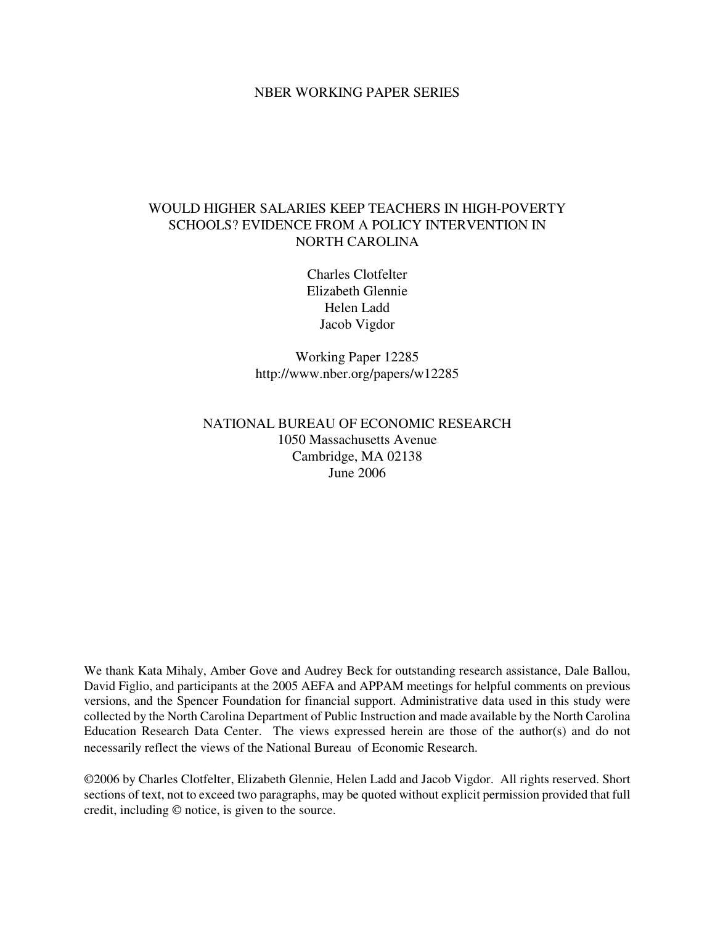### NBER WORKING PAPER SERIES

# WOULD HIGHER SALARIES KEEP TEACHERS IN HIGH-POVERTY SCHOOLS? EVIDENCE FROM A POLICY INTERVENTION IN NORTH CAROLINA

Charles Clotfelter Elizabeth Glennie Helen Ladd Jacob Vigdor

Working Paper 12285 http://www.nber.org/papers/w12285

## NATIONAL BUREAU OF ECONOMIC RESEARCH 1050 Massachusetts Avenue Cambridge, MA 02138 June 2006

We thank Kata Mihaly, Amber Gove and Audrey Beck for outstanding research assistance, Dale Ballou, David Figlio, and participants at the 2005 AEFA and APPAM meetings for helpful comments on previous versions, and the Spencer Foundation for financial support. Administrative data used in this study were collected by the North Carolina Department of Public Instruction and made available by the North Carolina Education Research Data Center. The views expressed herein are those of the author(s) and do not necessarily reflect the views of the National Bureau of Economic Research.

©2006 by Charles Clotfelter, Elizabeth Glennie, Helen Ladd and Jacob Vigdor. All rights reserved. Short sections of text, not to exceed two paragraphs, may be quoted without explicit permission provided that full credit, including © notice, is given to the source.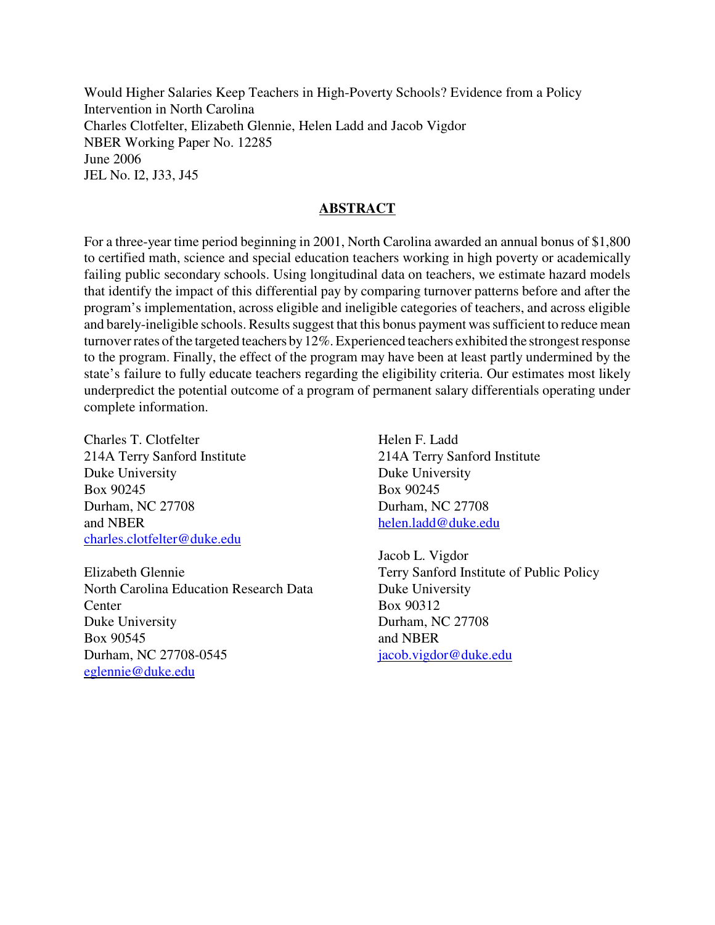Would Higher Salaries Keep Teachers in High-Poverty Schools? Evidence from a Policy Intervention in North Carolina Charles Clotfelter, Elizabeth Glennie, Helen Ladd and Jacob Vigdor NBER Working Paper No. 12285 June 2006 JEL No. I2, J33, J45

## **ABSTRACT**

For a three-year time period beginning in 2001, North Carolina awarded an annual bonus of \$1,800 to certified math, science and special education teachers working in high poverty or academically failing public secondary schools. Using longitudinal data on teachers, we estimate hazard models that identify the impact of this differential pay by comparing turnover patterns before and after the program's implementation, across eligible and ineligible categories of teachers, and across eligible and barely-ineligible schools. Results suggest that this bonus payment was sufficient to reduce mean turnover rates of the targeted teachers by 12%. Experienced teachers exhibited the strongest response to the program. Finally, the effect of the program may have been at least partly undermined by the state's failure to fully educate teachers regarding the eligibility criteria. Our estimates most likely underpredict the potential outcome of a program of permanent salary differentials operating under complete information.

Charles T. Clotfelter 214A Terry Sanford Institute Duke University Box 90245 Durham, NC 27708 and NBER charles.clotfelter@duke.edu

Elizabeth Glennie North Carolina Education Research Data **Center** Duke University Box 90545 Durham, NC 27708-0545 eglennie@duke.edu

Helen F. Ladd 214A Terry Sanford Institute Duke University Box 90245 Durham, NC 27708 helen.ladd@duke.edu

Jacob L. Vigdor Terry Sanford Institute of Public Policy Duke University Box 90312 Durham, NC 27708 and NBER jacob.vigdor@duke.edu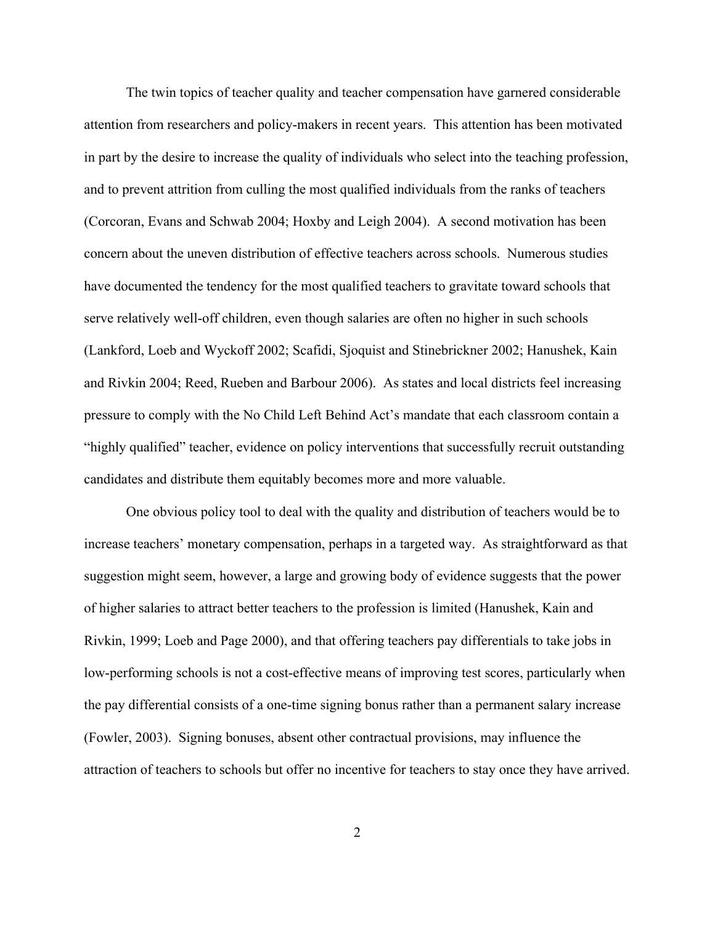The twin topics of teacher quality and teacher compensation have garnered considerable attention from researchers and policy-makers in recent years. This attention has been motivated in part by the desire to increase the quality of individuals who select into the teaching profession, and to prevent attrition from culling the most qualified individuals from the ranks of teachers (Corcoran, Evans and Schwab 2004; Hoxby and Leigh 2004). A second motivation has been concern about the uneven distribution of effective teachers across schools. Numerous studies have documented the tendency for the most qualified teachers to gravitate toward schools that serve relatively well-off children, even though salaries are often no higher in such schools (Lankford, Loeb and Wyckoff 2002; Scafidi, Sjoquist and Stinebrickner 2002; Hanushek, Kain and Rivkin 2004; Reed, Rueben and Barbour 2006). As states and local districts feel increasing pressure to comply with the No Child Left Behind Act's mandate that each classroom contain a "highly qualified" teacher, evidence on policy interventions that successfully recruit outstanding candidates and distribute them equitably becomes more and more valuable.

One obvious policy tool to deal with the quality and distribution of teachers would be to increase teachers' monetary compensation, perhaps in a targeted way. As straightforward as that suggestion might seem, however, a large and growing body of evidence suggests that the power of higher salaries to attract better teachers to the profession is limited (Hanushek, Kain and Rivkin, 1999; Loeb and Page 2000), and that offering teachers pay differentials to take jobs in low-performing schools is not a cost-effective means of improving test scores, particularly when the pay differential consists of a one-time signing bonus rather than a permanent salary increase (Fowler, 2003). Signing bonuses, absent other contractual provisions, may influence the attraction of teachers to schools but offer no incentive for teachers to stay once they have arrived.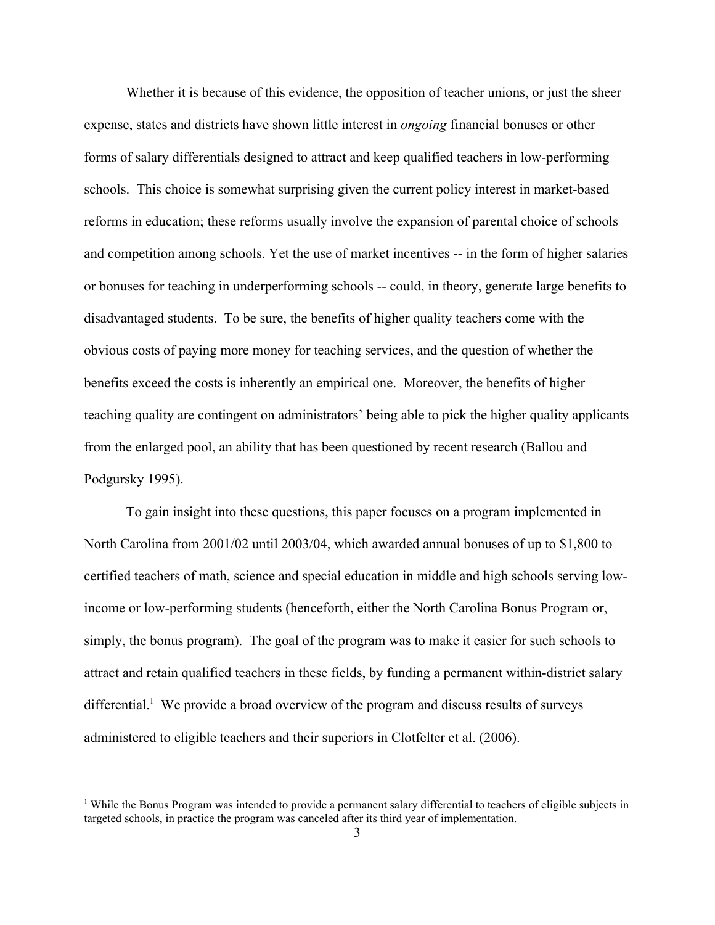Whether it is because of this evidence, the opposition of teacher unions, or just the sheer expense, states and districts have shown little interest in *ongoing* financial bonuses or other forms of salary differentials designed to attract and keep qualified teachers in low-performing schools. This choice is somewhat surprising given the current policy interest in market-based reforms in education; these reforms usually involve the expansion of parental choice of schools and competition among schools. Yet the use of market incentives -- in the form of higher salaries or bonuses for teaching in underperforming schools -- could, in theory, generate large benefits to disadvantaged students. To be sure, the benefits of higher quality teachers come with the obvious costs of paying more money for teaching services, and the question of whether the benefits exceed the costs is inherently an empirical one. Moreover, the benefits of higher teaching quality are contingent on administrators' being able to pick the higher quality applicants from the enlarged pool, an ability that has been questioned by recent research (Ballou and Podgursky 1995).

To gain insight into these questions, this paper focuses on a program implemented in North Carolina from 2001/02 until 2003/04, which awarded annual bonuses of up to \$1,800 to certified teachers of math, science and special education in middle and high schools serving lowincome or low-performing students (henceforth, either the North Carolina Bonus Program or, simply, the bonus program). The goal of the program was to make it easier for such schools to attract and retain qualified teachers in these fields, by funding a permanent within-district salary differential. [1](#page-3-0) We provide a broad overview of the program and discuss results of surveys administered to eligible teachers and their superiors in Clotfelter et al. (2006).

<span id="page-3-0"></span><sup>&</sup>lt;sup>1</sup> While the Bonus Program was intended to provide a permanent salary differential to teachers of eligible subjects in targeted schools, in practice the program was canceled after its third year of implementation.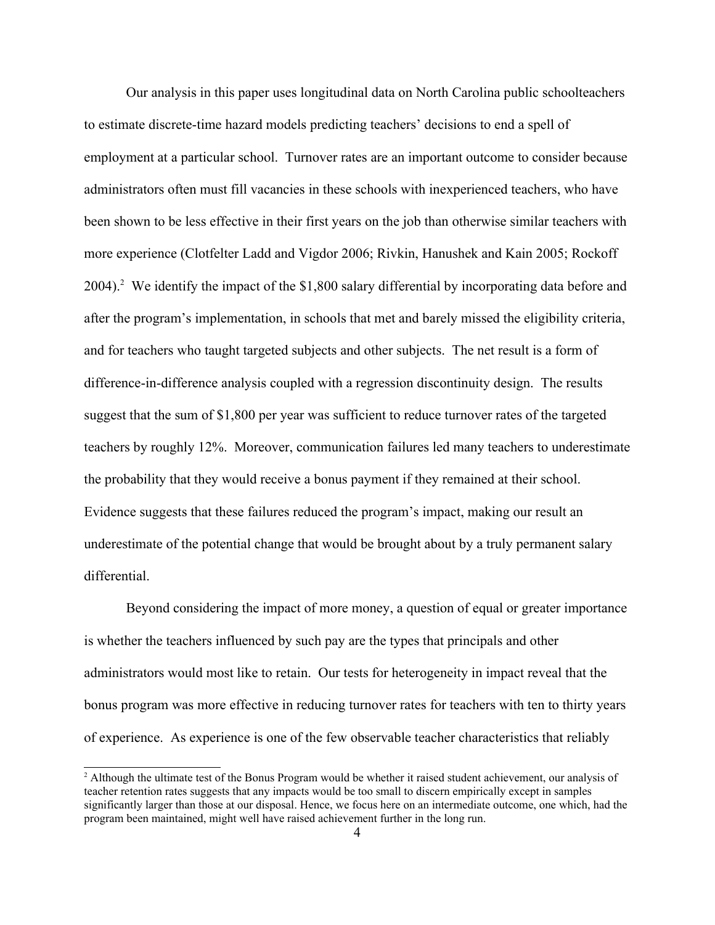Our analysis in this paper uses longitudinal data on North Carolina public schoolteachers to estimate discrete-time hazard models predicting teachers' decisions to end a spell of employment at a particular school. Turnover rates are an important outcome to consider because administrators often must fill vacancies in these schools with inexperienced teachers, who have been shown to be less effective in their first years on the job than otherwise similar teachers with more experience (Clotfelter Ladd and Vigdor 2006; Rivkin, Hanushek and Kain 2005; Rockoff [2](#page-4-0)004).<sup>2</sup> We identify the impact of the \$1,800 salary differential by incorporating data before and after the program's implementation, in schools that met and barely missed the eligibility criteria, and for teachers who taught targeted subjects and other subjects. The net result is a form of difference-in-difference analysis coupled with a regression discontinuity design. The results suggest that the sum of \$1,800 per year was sufficient to reduce turnover rates of the targeted teachers by roughly 12%. Moreover, communication failures led many teachers to underestimate the probability that they would receive a bonus payment if they remained at their school. Evidence suggests that these failures reduced the program's impact, making our result an underestimate of the potential change that would be brought about by a truly permanent salary differential.

Beyond considering the impact of more money, a question of equal or greater importance is whether the teachers influenced by such pay are the types that principals and other administrators would most like to retain. Our tests for heterogeneity in impact reveal that the bonus program was more effective in reducing turnover rates for teachers with ten to thirty years of experience. As experience is one of the few observable teacher characteristics that reliably

<span id="page-4-0"></span><sup>&</sup>lt;sup>2</sup> Although the ultimate test of the Bonus Program would be whether it raised student achievement, our analysis of teacher retention rates suggests that any impacts would be too small to discern empirically except in samples significantly larger than those at our disposal. Hence, we focus here on an intermediate outcome, one which, had the program been maintained, might well have raised achievement further in the long run.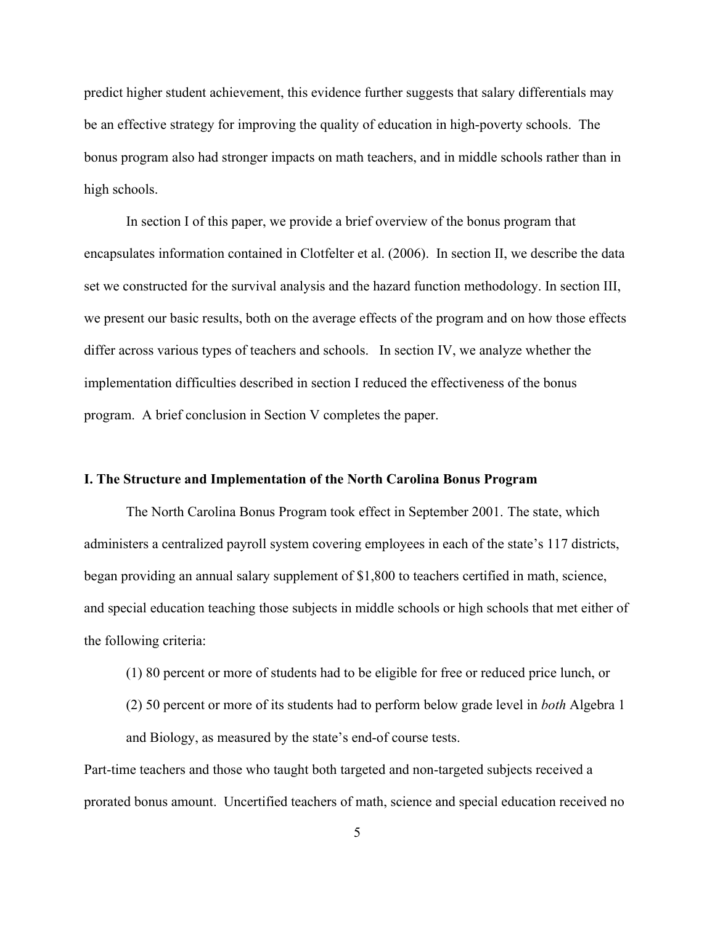predict higher student achievement, this evidence further suggests that salary differentials may be an effective strategy for improving the quality of education in high-poverty schools. The bonus program also had stronger impacts on math teachers, and in middle schools rather than in high schools.

In section I of this paper, we provide a brief overview of the bonus program that encapsulates information contained in Clotfelter et al. (2006). In section II, we describe the data set we constructed for the survival analysis and the hazard function methodology. In section III, we present our basic results, both on the average effects of the program and on how those effects differ across various types of teachers and schools. In section IV, we analyze whether the implementation difficulties described in section I reduced the effectiveness of the bonus program. A brief conclusion in Section V completes the paper.

## **I. The Structure and Implementation of the North Carolina Bonus Program**

The North Carolina Bonus Program took effect in September 2001. The state, which administers a centralized payroll system covering employees in each of the state's 117 districts, began providing an annual salary supplement of \$1,800 to teachers certified in math, science, and special education teaching those subjects in middle schools or high schools that met either of the following criteria:

- (1) 80 percent or more of students had to be eligible for free or reduced price lunch, or
- (2) 50 percent or more of its students had to perform below grade level in *both* Algebra 1 and Biology, as measured by the state's end-of course tests.

Part-time teachers and those who taught both targeted and non-targeted subjects received a prorated bonus amount. Uncertified teachers of math, science and special education received no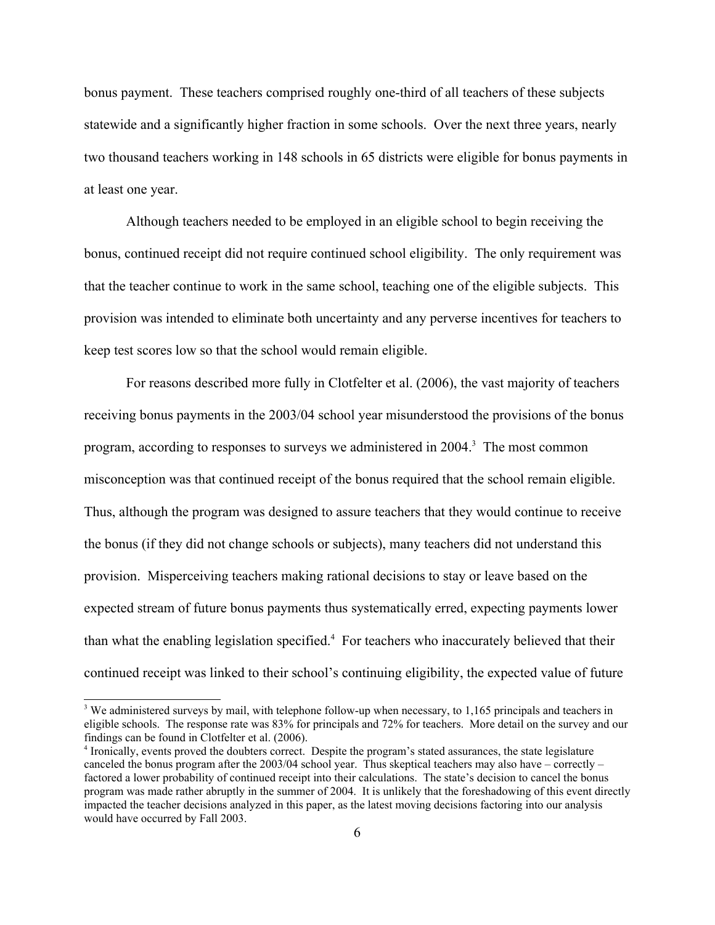bonus payment. These teachers comprised roughly one-third of all teachers of these subjects statewide and a significantly higher fraction in some schools. Over the next three years, nearly two thousand teachers working in 148 schools in 65 districts were eligible for bonus payments in at least one year.

Although teachers needed to be employed in an eligible school to begin receiving the bonus, continued receipt did not require continued school eligibility. The only requirement was that the teacher continue to work in the same school, teaching one of the eligible subjects. This provision was intended to eliminate both uncertainty and any perverse incentives for teachers to keep test scores low so that the school would remain eligible.

For reasons described more fully in Clotfelter et al. (2006), the vast majority of teachers receiving bonus payments in the 2003/04 school year misunderstood the provisions of the bonus program, according to responses to surveys we administered in 2004.<sup>[3](#page-6-0)</sup> The most common misconception was that continued receipt of the bonus required that the school remain eligible. Thus, although the program was designed to assure teachers that they would continue to receive the bonus (if they did not change schools or subjects), many teachers did not understand this provision. Misperceiving teachers making rational decisions to stay or leave based on the expected stream of future bonus payments thus systematically erred, expecting payments lower than what the enabling legislation specified.<sup>[4](#page-6-1)</sup> For teachers who inaccurately believed that their continued receipt was linked to their school's continuing eligibility, the expected value of future

<span id="page-6-0"></span><sup>&</sup>lt;sup>3</sup> We administered surveys by mail, with telephone follow-up when necessary, to 1,165 principals and teachers in eligible schools. The response rate was 83% for principals and 72% for teachers. More detail on the survey and our findings can be found in Clotfelter et al. (2006).

<span id="page-6-1"></span><sup>4</sup> Ironically, events proved the doubters correct. Despite the program's stated assurances, the state legislature canceled the bonus program after the 2003/04 school year. Thus skeptical teachers may also have – correctly – factored a lower probability of continued receipt into their calculations. The state's decision to cancel the bonus program was made rather abruptly in the summer of 2004. It is unlikely that the foreshadowing of this event directly impacted the teacher decisions analyzed in this paper, as the latest moving decisions factoring into our analysis would have occurred by Fall 2003.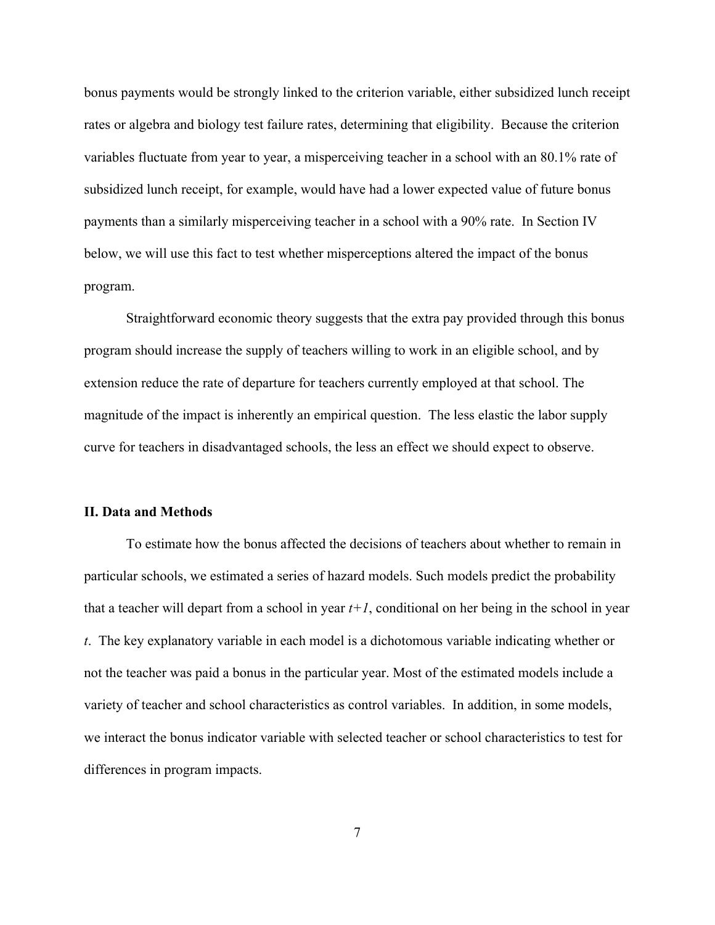bonus payments would be strongly linked to the criterion variable, either subsidized lunch receipt rates or algebra and biology test failure rates, determining that eligibility. Because the criterion variables fluctuate from year to year, a misperceiving teacher in a school with an 80.1% rate of subsidized lunch receipt, for example, would have had a lower expected value of future bonus payments than a similarly misperceiving teacher in a school with a 90% rate. In Section IV below, we will use this fact to test whether misperceptions altered the impact of the bonus program.

Straightforward economic theory suggests that the extra pay provided through this bonus program should increase the supply of teachers willing to work in an eligible school, and by extension reduce the rate of departure for teachers currently employed at that school. The magnitude of the impact is inherently an empirical question. The less elastic the labor supply curve for teachers in disadvantaged schools, the less an effect we should expect to observe.

#### **II. Data and Methods**

To estimate how the bonus affected the decisions of teachers about whether to remain in particular schools, we estimated a series of hazard models. Such models predict the probability that a teacher will depart from a school in year  $t+1$ , conditional on her being in the school in year *t*. The key explanatory variable in each model is a dichotomous variable indicating whether or not the teacher was paid a bonus in the particular year. Most of the estimated models include a variety of teacher and school characteristics as control variables. In addition, in some models, we interact the bonus indicator variable with selected teacher or school characteristics to test for differences in program impacts.

7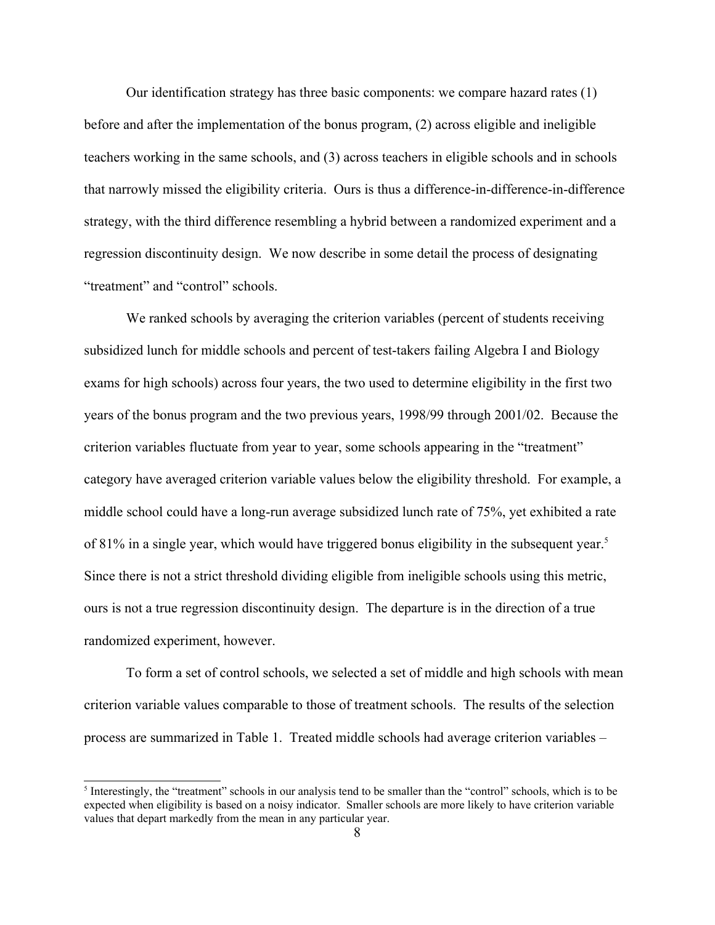Our identification strategy has three basic components: we compare hazard rates (1) before and after the implementation of the bonus program, (2) across eligible and ineligible teachers working in the same schools, and (3) across teachers in eligible schools and in schools that narrowly missed the eligibility criteria. Ours is thus a difference-in-difference-in-difference strategy, with the third difference resembling a hybrid between a randomized experiment and a regression discontinuity design. We now describe in some detail the process of designating "treatment" and "control" schools.

We ranked schools by averaging the criterion variables (percent of students receiving subsidized lunch for middle schools and percent of test-takers failing Algebra I and Biology exams for high schools) across four years, the two used to determine eligibility in the first two years of the bonus program and the two previous years, 1998/99 through 2001/02. Because the criterion variables fluctuate from year to year, some schools appearing in the "treatment" category have averaged criterion variable values below the eligibility threshold. For example, a middle school could have a long-run average subsidized lunch rate of 75%, yet exhibited a rate of 81% in a single year, which would have triggered bonus eligibility in the subsequent year.<sup>[5](#page-8-0)</sup> Since there is not a strict threshold dividing eligible from ineligible schools using this metric, ours is not a true regression discontinuity design. The departure is in the direction of a true randomized experiment, however.

To form a set of control schools, we selected a set of middle and high schools with mean criterion variable values comparable to those of treatment schools. The results of the selection process are summarized in Table 1. Treated middle schools had average criterion variables –

<span id="page-8-0"></span>Interestingly, the "treatment" schools in our analysis tend to be smaller than the "control" schools, which is to be expected when eligibility is based on a noisy indicator. Smaller schools are more likely to have criterion variable values that depart markedly from the mean in any particular year.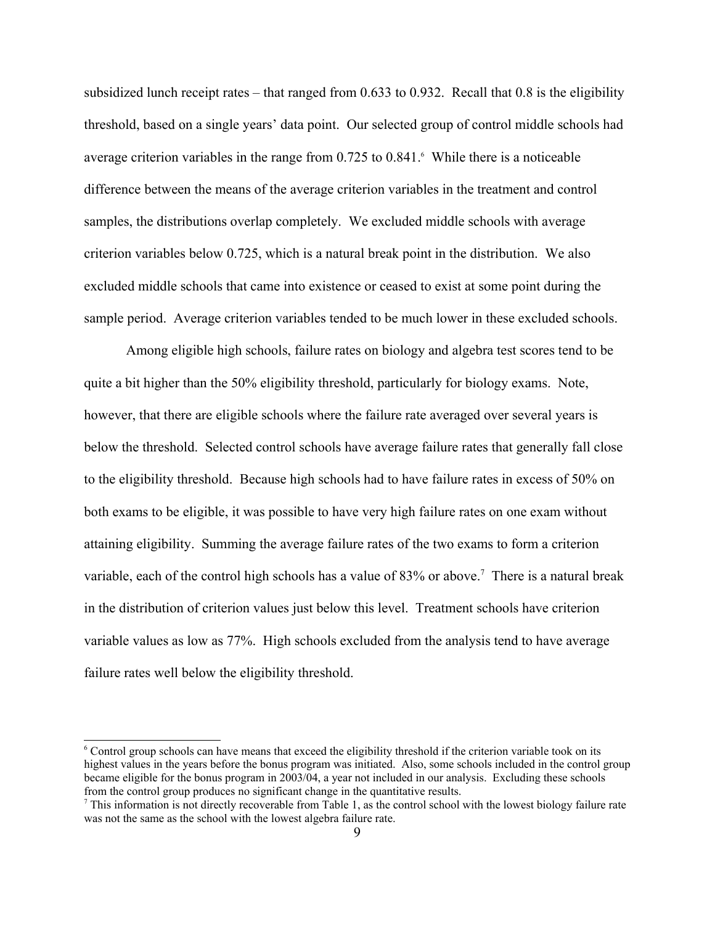subsidized lunch receipt rates – that ranged from  $0.633$  to  $0.932$ . Recall that  $0.8$  is the eligibility threshold, based on a single years' data point. Our selected group of control middle schools had average criterion variables in the range from 0.725 to 0.841. While there is a noticeable difference between the means of the average criterion variables in the treatment and control samples, the distributions overlap completely. We excluded middle schools with average criterion variables below 0.725, which is a natural break point in the distribution. We also excluded middle schools that came into existence or ceased to exist at some point during the sample period. Average criterion variables tended to be much lower in these excluded schools.

Among eligible high schools, failure rates on biology and algebra test scores tend to be quite a bit higher than the 50% eligibility threshold, particularly for biology exams. Note, however, that there are eligible schools where the failure rate averaged over several years is below the threshold. Selected control schools have average failure rates that generally fall close to the eligibility threshold. Because high schools had to have failure rates in excess of 50% on both exams to be eligible, it was possible to have very high failure rates on one exam without attaining eligibility. Summing the average failure rates of the two exams to form a criterion variable, each of the control high schools has a value of 83% or above.<sup>[7](#page-9-1)</sup> There is a natural break in the distribution of criterion values just below this level. Treatment schools have criterion variable values as low as 77%. High schools excluded from the analysis tend to have average failure rates well below the eligibility threshold.

<span id="page-9-0"></span><sup>6</sup> Control group schools can have means that exceed the eligibility threshold if the criterion variable took on its highest values in the years before the bonus program was initiated. Also, some schools included in the control group became eligible for the bonus program in 2003/04, a year not included in our analysis. Excluding these schools from the control group produces no significant change in the quantitative results.

<span id="page-9-1"></span> $<sup>7</sup>$  This information is not directly recoverable from Table 1, as the control school with the lowest biology failure rate</sup> was not the same as the school with the lowest algebra failure rate.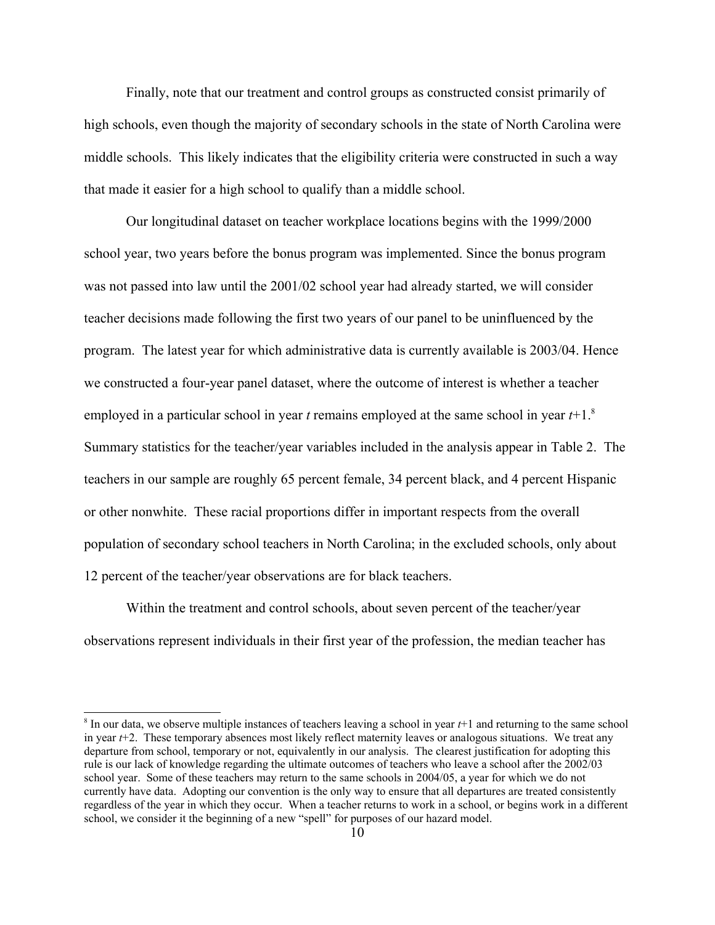Finally, note that our treatment and control groups as constructed consist primarily of high schools, even though the majority of secondary schools in the state of North Carolina were middle schools. This likely indicates that the eligibility criteria were constructed in such a way that made it easier for a high school to qualify than a middle school.

Our longitudinal dataset on teacher workplace locations begins with the 1999/2000 school year, two years before the bonus program was implemented. Since the bonus program was not passed into law until the 2001/02 school year had already started, we will consider teacher decisions made following the first two years of our panel to be uninfluenced by the program. The latest year for which administrative data is currently available is 2003/04. Hence we constructed a four-year panel dataset, where the outcome of interest is whether a teacher employed in a particular school in year *t* remains employed at the same school in year *t*+1.[8](#page-10-0) Summary statistics for the teacher/year variables included in the analysis appear in Table 2. The teachers in our sample are roughly 65 percent female, 34 percent black, and 4 percent Hispanic or other nonwhite. These racial proportions differ in important respects from the overall population of secondary school teachers in North Carolina; in the excluded schools, only about 12 percent of the teacher/year observations are for black teachers.

Within the treatment and control schools, about seven percent of the teacher/year observations represent individuals in their first year of the profession, the median teacher has

<span id="page-10-0"></span><sup>8</sup> In our data, we observe multiple instances of teachers leaving a school in year *t*+1 and returning to the same school in year  $t+2$ . These temporary absences most likely reflect maternity leaves or analogous situations. We treat any departure from school, temporary or not, equivalently in our analysis. The clearest justification for adopting this rule is our lack of knowledge regarding the ultimate outcomes of teachers who leave a school after the 2002/03 school year. Some of these teachers may return to the same schools in 2004/05, a year for which we do not currently have data. Adopting our convention is the only way to ensure that all departures are treated consistently regardless of the year in which they occur. When a teacher returns to work in a school, or begins work in a different school, we consider it the beginning of a new "spell" for purposes of our hazard model.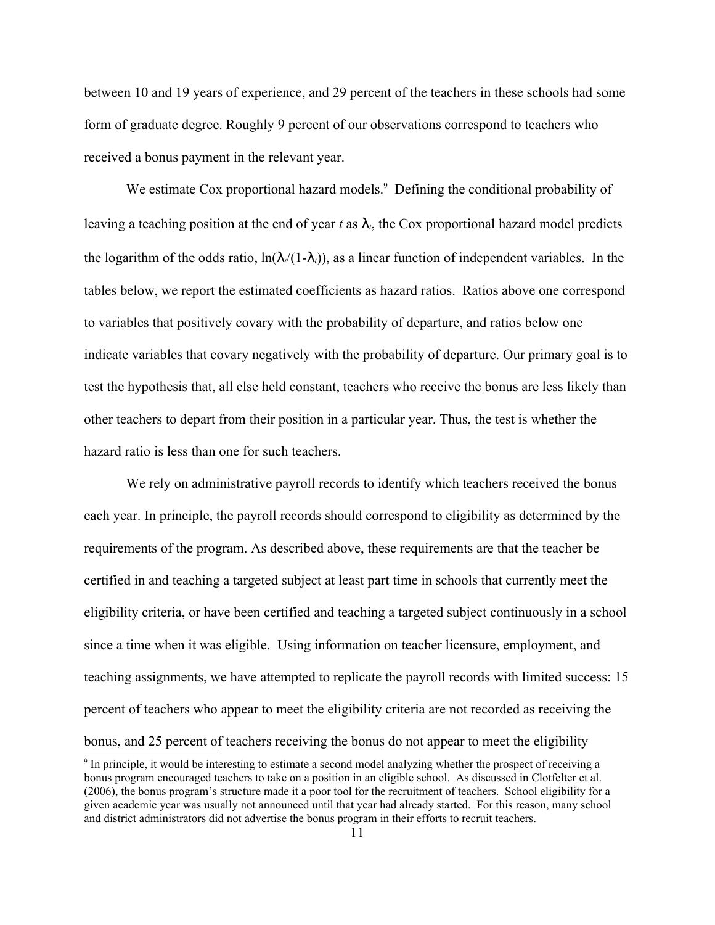between 10 and 19 years of experience, and 29 percent of the teachers in these schools had some form of graduate degree. Roughly 9 percent of our observations correspond to teachers who received a bonus payment in the relevant year.

We estimate Cox proportional hazard models.<sup>[9](#page-11-0)</sup> Defining the conditional probability of leaving a teaching position at the end of year  $t$  as  $\lambda_t$ , the Cox proportional hazard model predicts the logarithm of the odds ratio,  $\ln(\lambda/(1-\lambda_t))$ , as a linear function of independent variables. In the tables below, we report the estimated coefficients as hazard ratios. Ratios above one correspond to variables that positively covary with the probability of departure, and ratios below one indicate variables that covary negatively with the probability of departure. Our primary goal is to test the hypothesis that, all else held constant, teachers who receive the bonus are less likely than other teachers to depart from their position in a particular year. Thus, the test is whether the hazard ratio is less than one for such teachers.

We rely on administrative payroll records to identify which teachers received the bonus each year. In principle, the payroll records should correspond to eligibility as determined by the requirements of the program. As described above, these requirements are that the teacher be certified in and teaching a targeted subject at least part time in schools that currently meet the eligibility criteria, or have been certified and teaching a targeted subject continuously in a school since a time when it was eligible. Using information on teacher licensure, employment, and teaching assignments, we have attempted to replicate the payroll records with limited success: 15 percent of teachers who appear to meet the eligibility criteria are not recorded as receiving the bonus, and 25 percent of teachers receiving the bonus do not appear to meet the eligibility

<span id="page-11-0"></span><sup>9</sup> In principle, it would be interesting to estimate a second model analyzing whether the prospect of receiving a bonus program encouraged teachers to take on a position in an eligible school. As discussed in Clotfelter et al. (2006), the bonus program's structure made it a poor tool for the recruitment of teachers. School eligibility for a given academic year was usually not announced until that year had already started. For this reason, many school and district administrators did not advertise the bonus program in their efforts to recruit teachers.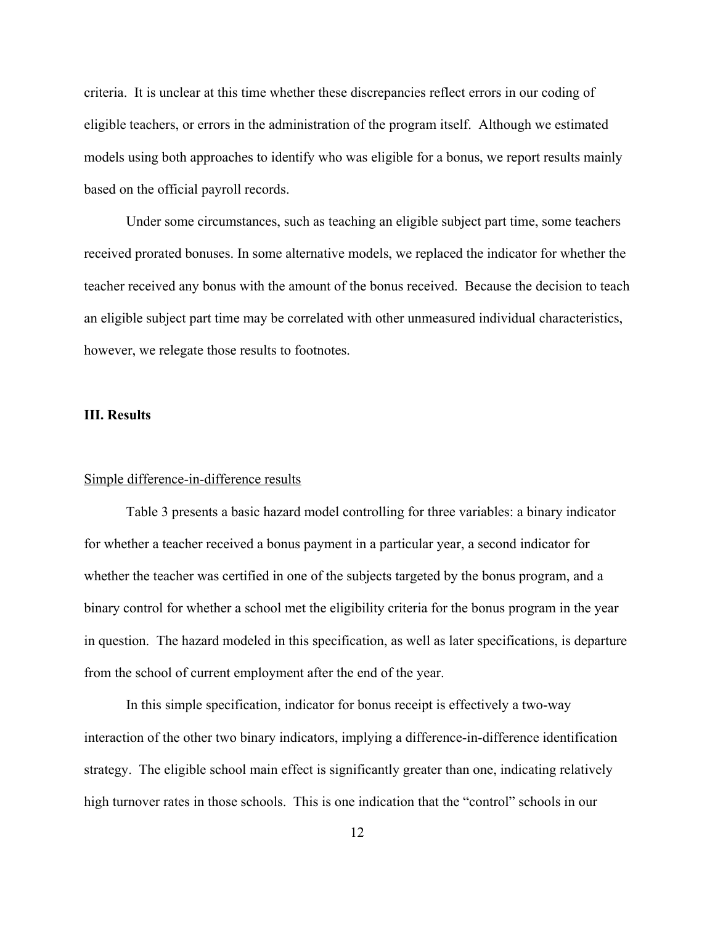criteria. It is unclear at this time whether these discrepancies reflect errors in our coding of eligible teachers, or errors in the administration of the program itself. Although we estimated models using both approaches to identify who was eligible for a bonus, we report results mainly based on the official payroll records.

Under some circumstances, such as teaching an eligible subject part time, some teachers received prorated bonuses. In some alternative models, we replaced the indicator for whether the teacher received any bonus with the amount of the bonus received. Because the decision to teach an eligible subject part time may be correlated with other unmeasured individual characteristics, however, we relegate those results to footnotes.

## **III. Results**

### Simple difference-in-difference results

Table 3 presents a basic hazard model controlling for three variables: a binary indicator for whether a teacher received a bonus payment in a particular year, a second indicator for whether the teacher was certified in one of the subjects targeted by the bonus program, and a binary control for whether a school met the eligibility criteria for the bonus program in the year in question. The hazard modeled in this specification, as well as later specifications, is departure from the school of current employment after the end of the year.

In this simple specification, indicator for bonus receipt is effectively a two-way interaction of the other two binary indicators, implying a difference-in-difference identification strategy. The eligible school main effect is significantly greater than one, indicating relatively high turnover rates in those schools. This is one indication that the "control" schools in our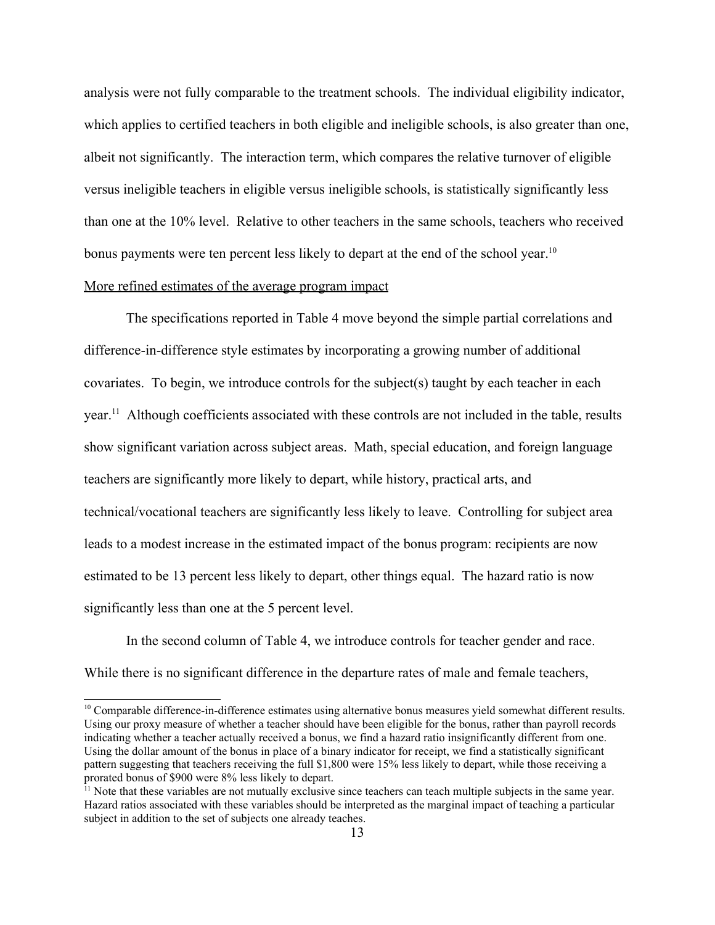analysis were not fully comparable to the treatment schools. The individual eligibility indicator, which applies to certified teachers in both eligible and ineligible schools, is also greater than one, albeit not significantly. The interaction term, which compares the relative turnover of eligible versus ineligible teachers in eligible versus ineligible schools, is statistically significantly less than one at the 10% level. Relative to other teachers in the same schools, teachers who received bonus payments were ten percent less likely to depart at the end of the school year.<sup>[10](#page-13-0)</sup> More refined estimates of the average program impact

The specifications reported in Table 4 move beyond the simple partial correlations and difference-in-difference style estimates by incorporating a growing number of additional covariates. To begin, we introduce controls for the subject(s) taught by each teacher in each year.<sup>[11](#page-13-1)</sup> Although coefficients associated with these controls are not included in the table, results show significant variation across subject areas. Math, special education, and foreign language teachers are significantly more likely to depart, while history, practical arts, and technical/vocational teachers are significantly less likely to leave. Controlling for subject area leads to a modest increase in the estimated impact of the bonus program: recipients are now estimated to be 13 percent less likely to depart, other things equal. The hazard ratio is now significantly less than one at the 5 percent level.

In the second column of Table 4, we introduce controls for teacher gender and race. While there is no significant difference in the departure rates of male and female teachers,

<span id="page-13-0"></span> $10$  Comparable difference-in-difference estimates using alternative bonus measures yield somewhat different results. Using our proxy measure of whether a teacher should have been eligible for the bonus, rather than payroll records indicating whether a teacher actually received a bonus, we find a hazard ratio insignificantly different from one. Using the dollar amount of the bonus in place of a binary indicator for receipt, we find a statistically significant pattern suggesting that teachers receiving the full \$1,800 were 15% less likely to depart, while those receiving a prorated bonus of \$900 were 8% less likely to depart.

<span id="page-13-1"></span> $<sup>11</sup>$  Note that these variables are not mutually exclusive since teachers can teach multiple subjects in the same year.</sup> Hazard ratios associated with these variables should be interpreted as the marginal impact of teaching a particular subject in addition to the set of subjects one already teaches.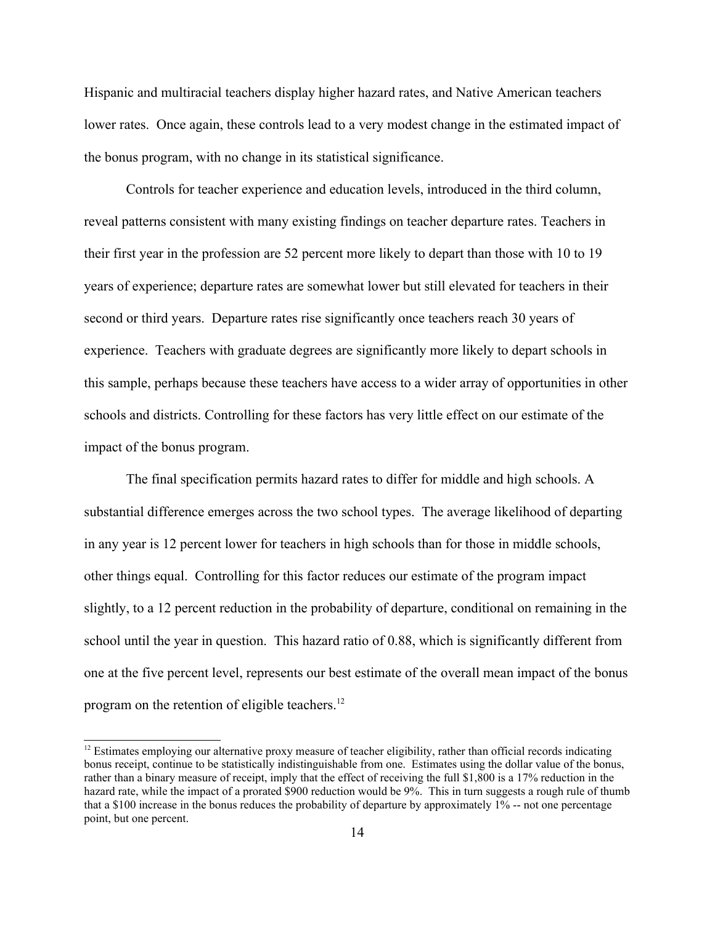Hispanic and multiracial teachers display higher hazard rates, and Native American teachers lower rates. Once again, these controls lead to a very modest change in the estimated impact of the bonus program, with no change in its statistical significance.

Controls for teacher experience and education levels, introduced in the third column, reveal patterns consistent with many existing findings on teacher departure rates. Teachers in their first year in the profession are 52 percent more likely to depart than those with 10 to 19 years of experience; departure rates are somewhat lower but still elevated for teachers in their second or third years. Departure rates rise significantly once teachers reach 30 years of experience. Teachers with graduate degrees are significantly more likely to depart schools in this sample, perhaps because these teachers have access to a wider array of opportunities in other schools and districts. Controlling for these factors has very little effect on our estimate of the impact of the bonus program.

The final specification permits hazard rates to differ for middle and high schools. A substantial difference emerges across the two school types. The average likelihood of departing in any year is 12 percent lower for teachers in high schools than for those in middle schools, other things equal. Controlling for this factor reduces our estimate of the program impact slightly, to a 12 percent reduction in the probability of departure, conditional on remaining in the school until the year in question. This hazard ratio of 0.88, which is significantly different from one at the five percent level, represents our best estimate of the overall mean impact of the bonus program on the retention of eligible teachers.<sup>[12](#page-14-0)</sup>

<span id="page-14-0"></span><sup>&</sup>lt;sup>12</sup> Estimates employing our alternative proxy measure of teacher eligibility, rather than official records indicating bonus receipt, continue to be statistically indistinguishable from one. Estimates using the dollar value of the bonus, rather than a binary measure of receipt, imply that the effect of receiving the full \$1,800 is a 17% reduction in the hazard rate, while the impact of a prorated \$900 reduction would be 9%. This in turn suggests a rough rule of thumb that a \$100 increase in the bonus reduces the probability of departure by approximately 1% -- not one percentage point, but one percent.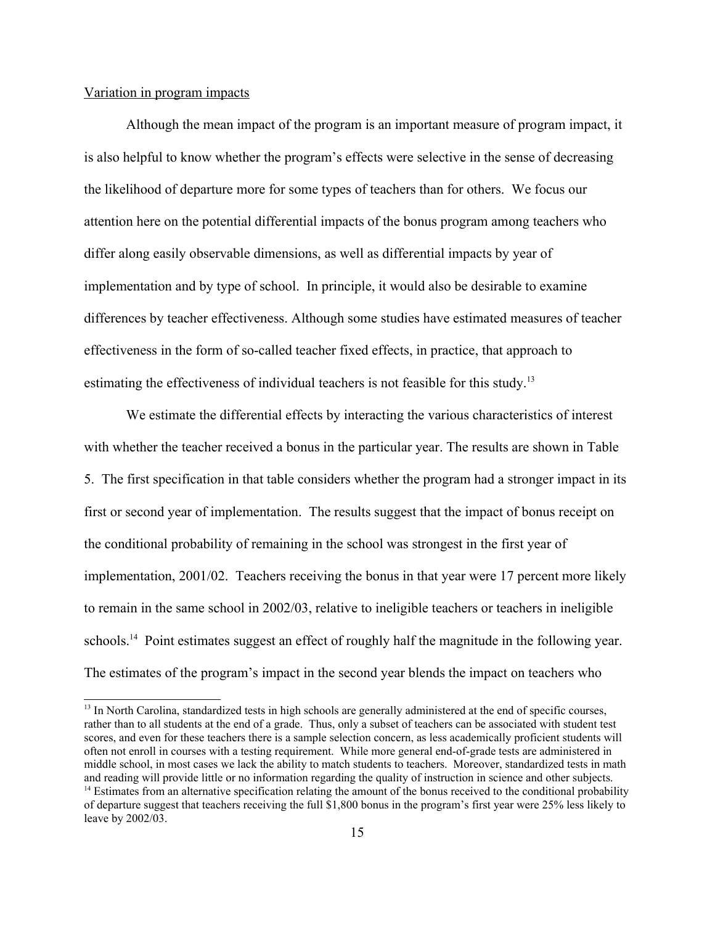## Variation in program impacts

Although the mean impact of the program is an important measure of program impact, it is also helpful to know whether the program's effects were selective in the sense of decreasing the likelihood of departure more for some types of teachers than for others. We focus our attention here on the potential differential impacts of the bonus program among teachers who differ along easily observable dimensions, as well as differential impacts by year of implementation and by type of school. In principle, it would also be desirable to examine differences by teacher effectiveness. Although some studies have estimated measures of teacher effectiveness in the form of so-called teacher fixed effects, in practice, that approach to estimating the effectiveness of individual teachers is not feasible for this study.<sup>[13](#page-15-0)</sup>

We estimate the differential effects by interacting the various characteristics of interest with whether the teacher received a bonus in the particular year. The results are shown in Table 5. The first specification in that table considers whether the program had a stronger impact in its first or second year of implementation. The results suggest that the impact of bonus receipt on the conditional probability of remaining in the school was strongest in the first year of implementation, 2001/02. Teachers receiving the bonus in that year were 17 percent more likely to remain in the same school in 2002/03, relative to ineligible teachers or teachers in ineligible schools.<sup>[14](#page-15-1)</sup> Point estimates suggest an effect of roughly half the magnitude in the following year. The estimates of the program's impact in the second year blends the impact on teachers who

<span id="page-15-1"></span><span id="page-15-0"></span><sup>&</sup>lt;sup>13</sup> In North Carolina, standardized tests in high schools are generally administered at the end of specific courses, rather than to all students at the end of a grade. Thus, only a subset of teachers can be associated with student test scores, and even for these teachers there is a sample selection concern, as less academically proficient students will often not enroll in courses with a testing requirement. While more general end-of-grade tests are administered in middle school, in most cases we lack the ability to match students to teachers. Moreover, standardized tests in math and reading will provide little or no information regarding the quality of instruction in science and other subjects.  $<sup>14</sup>$  Estimates from an alternative specification relating the amount of the bonus received to the conditional probability</sup> of departure suggest that teachers receiving the full \$1,800 bonus in the program's first year were 25% less likely to leave by 2002/03.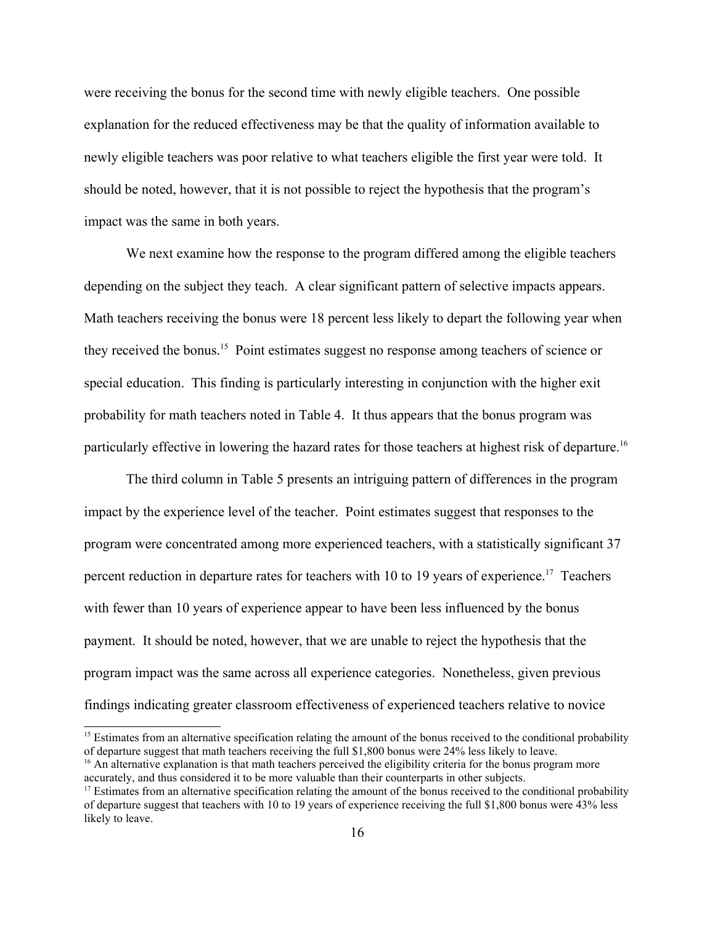were receiving the bonus for the second time with newly eligible teachers. One possible explanation for the reduced effectiveness may be that the quality of information available to newly eligible teachers was poor relative to what teachers eligible the first year were told. It should be noted, however, that it is not possible to reject the hypothesis that the program's impact was the same in both years.

We next examine how the response to the program differed among the eligible teachers depending on the subject they teach. A clear significant pattern of selective impacts appears. Math teachers receiving the bonus were 18 percent less likely to depart the following year when they received the bonus. [15](#page-16-0) Point estimates suggest no response among teachers of science or special education. This finding is particularly interesting in conjunction with the higher exit probability for math teachers noted in Table 4. It thus appears that the bonus program was particularly effective in lowering the hazard rates for those teachers at highest risk of departure.<sup>[16](#page-16-1)</sup>

The third column in Table 5 presents an intriguing pattern of differences in the program impact by the experience level of the teacher. Point estimates suggest that responses to the program were concentrated among more experienced teachers, with a statistically significant 37 percent reduction in departure rates for teachers with 10 to 19 years of experience.<sup>[17](#page-16-2)</sup> Teachers with fewer than 10 years of experience appear to have been less influenced by the bonus payment. It should be noted, however, that we are unable to reject the hypothesis that the program impact was the same across all experience categories. Nonetheless, given previous findings indicating greater classroom effectiveness of experienced teachers relative to novice

<span id="page-16-0"></span> $<sup>15</sup>$  Estimates from an alternative specification relating the amount of the bonus received to the conditional probability</sup> of departure suggest that math teachers receiving the full \$1,800 bonus were 24% less likely to leave.

<span id="page-16-1"></span><sup>&</sup>lt;sup>16</sup> An alternative explanation is that math teachers perceived the eligibility criteria for the bonus program more accurately, and thus considered it to be more valuable than their counterparts in other subjects.

<span id="page-16-2"></span> $17$  Estimates from an alternative specification relating the amount of the bonus received to the conditional probability of departure suggest that teachers with 10 to 19 years of experience receiving the full \$1,800 bonus were 43% less likely to leave.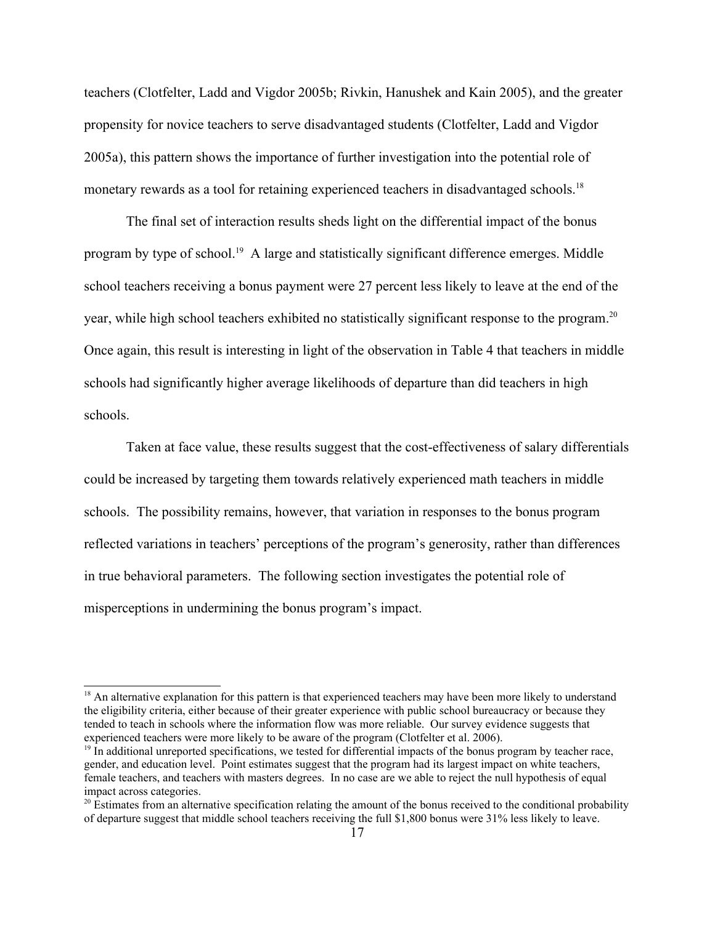teachers (Clotfelter, Ladd and Vigdor 2005b; Rivkin, Hanushek and Kain 2005), and the greater propensity for novice teachers to serve disadvantaged students (Clotfelter, Ladd and Vigdor 2005a), this pattern shows the importance of further investigation into the potential role of monetary rewards as a tool for retaining experienced teachers in disadvantaged schools.<sup>[18](#page-17-0)</sup>

The final set of interaction results sheds light on the differential impact of the bonus program by type of school.<sup>[19](#page-17-1)</sup> A large and statistically significant difference emerges. Middle school teachers receiving a bonus payment were 27 percent less likely to leave at the end of the year, while high school teachers exhibited no statistically significant response to the program.<sup>[20](#page-17-2)</sup> Once again, this result is interesting in light of the observation in Table 4 that teachers in middle schools had significantly higher average likelihoods of departure than did teachers in high schools.

Taken at face value, these results suggest that the cost-effectiveness of salary differentials could be increased by targeting them towards relatively experienced math teachers in middle schools. The possibility remains, however, that variation in responses to the bonus program reflected variations in teachers' perceptions of the program's generosity, rather than differences in true behavioral parameters. The following section investigates the potential role of misperceptions in undermining the bonus program's impact.

<span id="page-17-0"></span> $18$  An alternative explanation for this pattern is that experienced teachers may have been more likely to understand the eligibility criteria, either because of their greater experience with public school bureaucracy or because they tended to teach in schools where the information flow was more reliable. Our survey evidence suggests that experienced teachers were more likely to be aware of the program (Clotfelter et al. 2006).

<span id="page-17-1"></span> $19$  In additional unreported specifications, we tested for differential impacts of the bonus program by teacher race, gender, and education level. Point estimates suggest that the program had its largest impact on white teachers, female teachers, and teachers with masters degrees. In no case are we able to reject the null hypothesis of equal impact across categories.

<span id="page-17-2"></span> $20$  Estimates from an alternative specification relating the amount of the bonus received to the conditional probability of departure suggest that middle school teachers receiving the full \$1,800 bonus were 31% less likely to leave.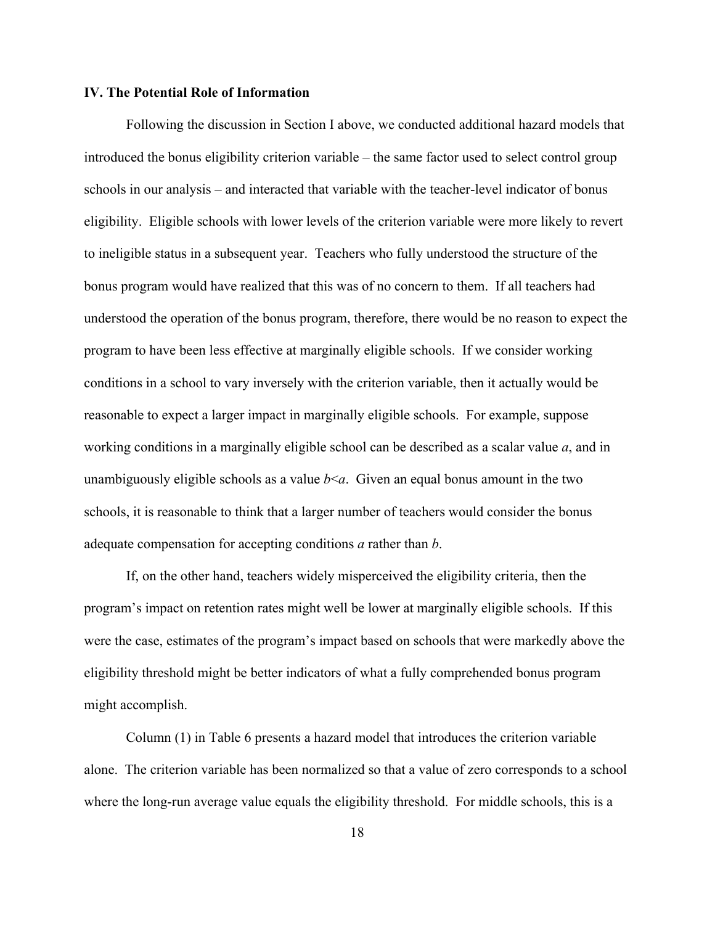### **IV. The Potential Role of Information**

Following the discussion in Section I above, we conducted additional hazard models that introduced the bonus eligibility criterion variable – the same factor used to select control group schools in our analysis – and interacted that variable with the teacher-level indicator of bonus eligibility. Eligible schools with lower levels of the criterion variable were more likely to revert to ineligible status in a subsequent year. Teachers who fully understood the structure of the bonus program would have realized that this was of no concern to them. If all teachers had understood the operation of the bonus program, therefore, there would be no reason to expect the program to have been less effective at marginally eligible schools. If we consider working conditions in a school to vary inversely with the criterion variable, then it actually would be reasonable to expect a larger impact in marginally eligible schools. For example, suppose working conditions in a marginally eligible school can be described as a scalar value *a*, and in unambiguously eligible schools as a value  $b \le a$ . Given an equal bonus amount in the two schools, it is reasonable to think that a larger number of teachers would consider the bonus adequate compensation for accepting conditions *a* rather than *b*.

If, on the other hand, teachers widely misperceived the eligibility criteria, then the program's impact on retention rates might well be lower at marginally eligible schools. If this were the case, estimates of the program's impact based on schools that were markedly above the eligibility threshold might be better indicators of what a fully comprehended bonus program might accomplish.

Column (1) in Table 6 presents a hazard model that introduces the criterion variable alone. The criterion variable has been normalized so that a value of zero corresponds to a school where the long-run average value equals the eligibility threshold. For middle schools, this is a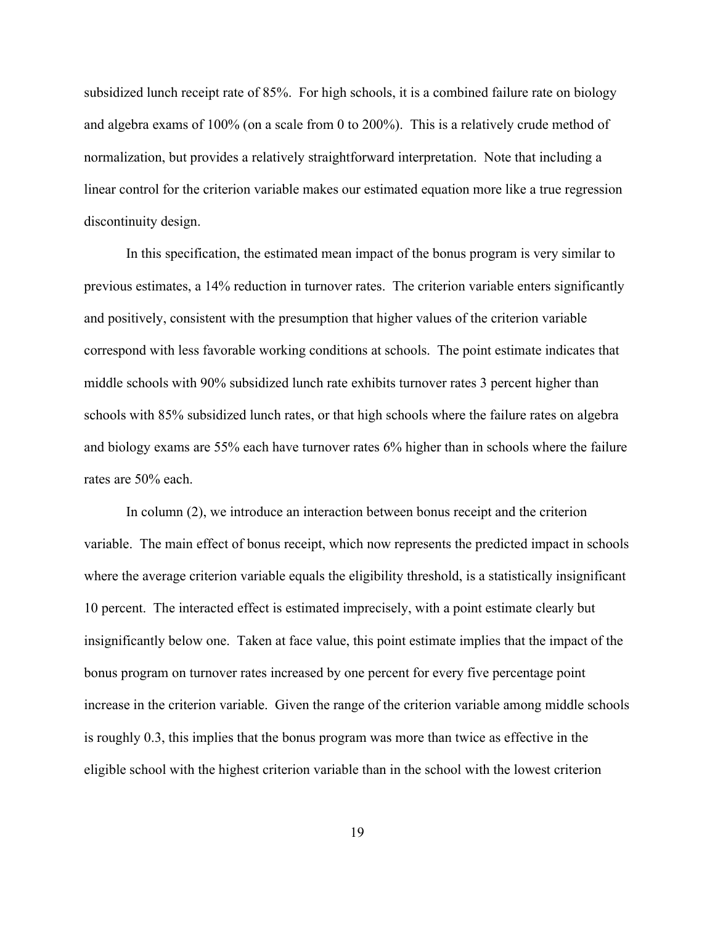subsidized lunch receipt rate of 85%. For high schools, it is a combined failure rate on biology and algebra exams of 100% (on a scale from 0 to 200%). This is a relatively crude method of normalization, but provides a relatively straightforward interpretation. Note that including a linear control for the criterion variable makes our estimated equation more like a true regression discontinuity design.

In this specification, the estimated mean impact of the bonus program is very similar to previous estimates, a 14% reduction in turnover rates. The criterion variable enters significantly and positively, consistent with the presumption that higher values of the criterion variable correspond with less favorable working conditions at schools. The point estimate indicates that middle schools with 90% subsidized lunch rate exhibits turnover rates 3 percent higher than schools with 85% subsidized lunch rates, or that high schools where the failure rates on algebra and biology exams are 55% each have turnover rates 6% higher than in schools where the failure rates are 50% each.

In column (2), we introduce an interaction between bonus receipt and the criterion variable. The main effect of bonus receipt, which now represents the predicted impact in schools where the average criterion variable equals the eligibility threshold, is a statistically insignificant 10 percent. The interacted effect is estimated imprecisely, with a point estimate clearly but insignificantly below one. Taken at face value, this point estimate implies that the impact of the bonus program on turnover rates increased by one percent for every five percentage point increase in the criterion variable. Given the range of the criterion variable among middle schools is roughly 0.3, this implies that the bonus program was more than twice as effective in the eligible school with the highest criterion variable than in the school with the lowest criterion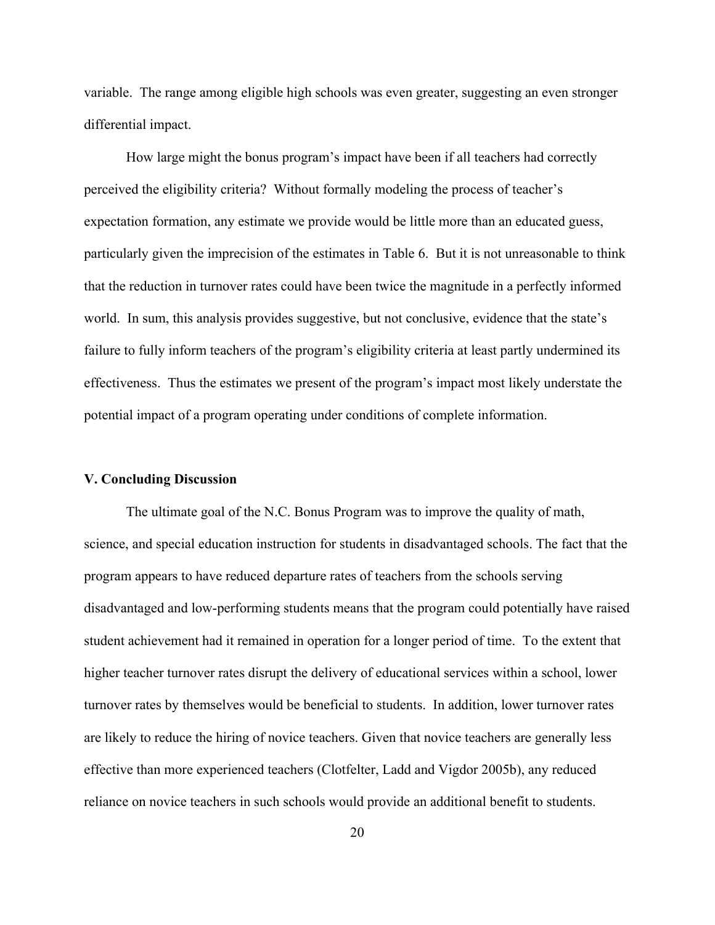variable. The range among eligible high schools was even greater, suggesting an even stronger differential impact.

How large might the bonus program's impact have been if all teachers had correctly perceived the eligibility criteria? Without formally modeling the process of teacher's expectation formation, any estimate we provide would be little more than an educated guess, particularly given the imprecision of the estimates in Table 6. But it is not unreasonable to think that the reduction in turnover rates could have been twice the magnitude in a perfectly informed world. In sum, this analysis provides suggestive, but not conclusive, evidence that the state's failure to fully inform teachers of the program's eligibility criteria at least partly undermined its effectiveness. Thus the estimates we present of the program's impact most likely understate the potential impact of a program operating under conditions of complete information.

### **V. Concluding Discussion**

The ultimate goal of the N.C. Bonus Program was to improve the quality of math, science, and special education instruction for students in disadvantaged schools. The fact that the program appears to have reduced departure rates of teachers from the schools serving disadvantaged and low-performing students means that the program could potentially have raised student achievement had it remained in operation for a longer period of time. To the extent that higher teacher turnover rates disrupt the delivery of educational services within a school, lower turnover rates by themselves would be beneficial to students. In addition, lower turnover rates are likely to reduce the hiring of novice teachers. Given that novice teachers are generally less effective than more experienced teachers (Clotfelter, Ladd and Vigdor 2005b), any reduced reliance on novice teachers in such schools would provide an additional benefit to students.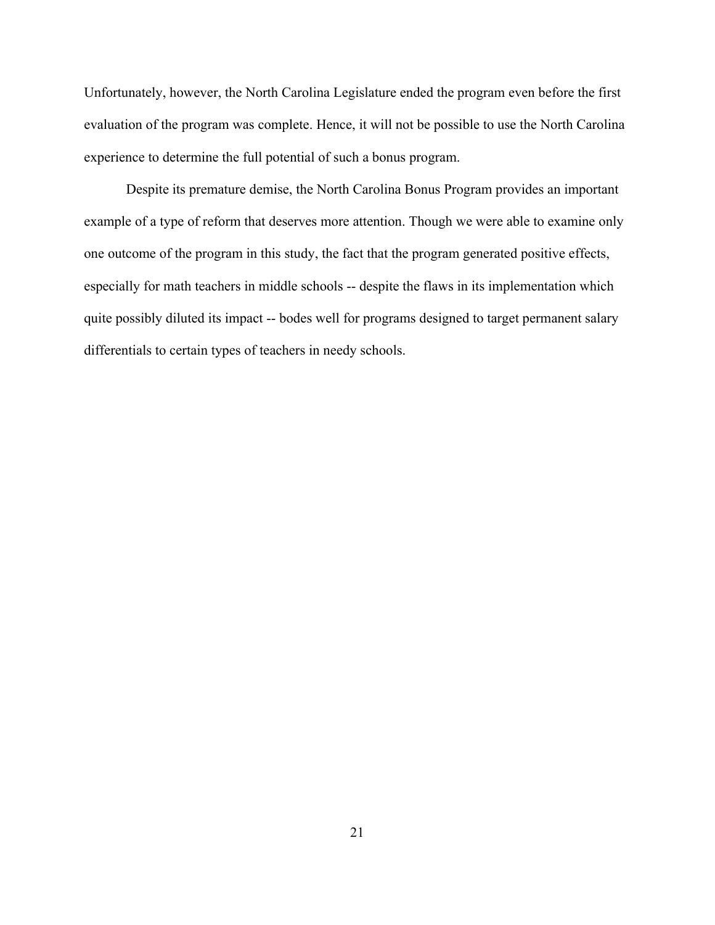Unfortunately, however, the North Carolina Legislature ended the program even before the first evaluation of the program was complete. Hence, it will not be possible to use the North Carolina experience to determine the full potential of such a bonus program.

Despite its premature demise, the North Carolina Bonus Program provides an important example of a type of reform that deserves more attention. Though we were able to examine only one outcome of the program in this study, the fact that the program generated positive effects, especially for math teachers in middle schools -- despite the flaws in its implementation which quite possibly diluted its impact -- bodes well for programs designed to target permanent salary differentials to certain types of teachers in needy schools.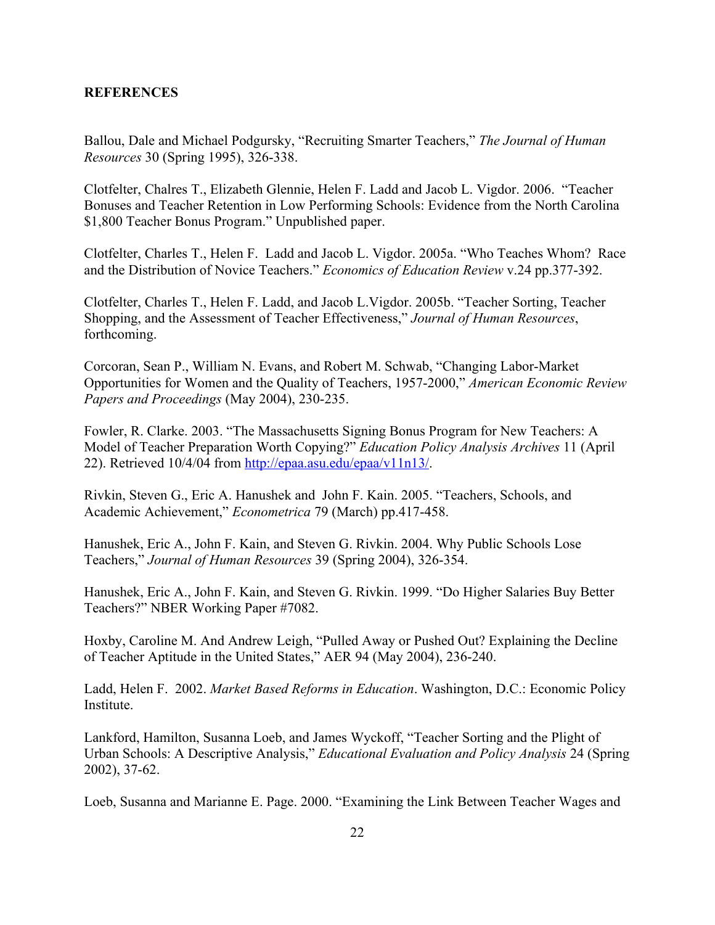## **REFERENCES**

Ballou, Dale and Michael Podgursky, "Recruiting Smarter Teachers," *The Journal of Human Resources* 30 (Spring 1995), 326-338.

Clotfelter, Chalres T., Elizabeth Glennie, Helen F. Ladd and Jacob L. Vigdor. 2006. "Teacher Bonuses and Teacher Retention in Low Performing Schools: Evidence from the North Carolina \$1,800 Teacher Bonus Program." Unpublished paper.

Clotfelter, Charles T., Helen F. Ladd and Jacob L. Vigdor. 2005a. "Who Teaches Whom? Race and the Distribution of Novice Teachers." *Economics of Education Review* v.24 pp.377-392.

Clotfelter, Charles T., Helen F. Ladd, and Jacob L.Vigdor. 2005b. "Teacher Sorting, Teacher Shopping, and the Assessment of Teacher Effectiveness," *Journal of Human Resources*, forthcoming.

Corcoran, Sean P., William N. Evans, and Robert M. Schwab, "Changing Labor-Market Opportunities for Women and the Quality of Teachers, 1957-2000," *American Economic Review Papers and Proceedings* (May 2004), 230-235.

Fowler, R. Clarke. 2003. "The Massachusetts Signing Bonus Program for New Teachers: A Model of Teacher Preparation Worth Copying?" *Education Policy Analysis Archives* 11 (April 22). Retrieved 10/4/04 from [http://epaa.asu.edu/epaa/v11n13/.](http://epaa.asu.edu/epaa/v11n13/)

Rivkin, Steven G., Eric A. Hanushek and John F. Kain. 2005. "Teachers, Schools, and Academic Achievement," *Econometrica* 79 (March) pp.417-458.

Hanushek, Eric A., John F. Kain, and Steven G. Rivkin. 2004. Why Public Schools Lose Teachers," *Journal of Human Resources* 39 (Spring 2004), 326-354.

Hanushek, Eric A., John F. Kain, and Steven G. Rivkin. 1999. "Do Higher Salaries Buy Better Teachers?" NBER Working Paper #7082.

Hoxby, Caroline M. And Andrew Leigh, "Pulled Away or Pushed Out? Explaining the Decline of Teacher Aptitude in the United States," AER 94 (May 2004), 236-240.

Ladd, Helen F. 2002. *Market Based Reforms in Education*. Washington, D.C.: Economic Policy Institute.

Lankford, Hamilton, Susanna Loeb, and James Wyckoff, "Teacher Sorting and the Plight of Urban Schools: A Descriptive Analysis," *Educational Evaluation and Policy Analysis* 24 (Spring 2002), 37-62.

Loeb, Susanna and Marianne E. Page. 2000. "Examining the Link Between Teacher Wages and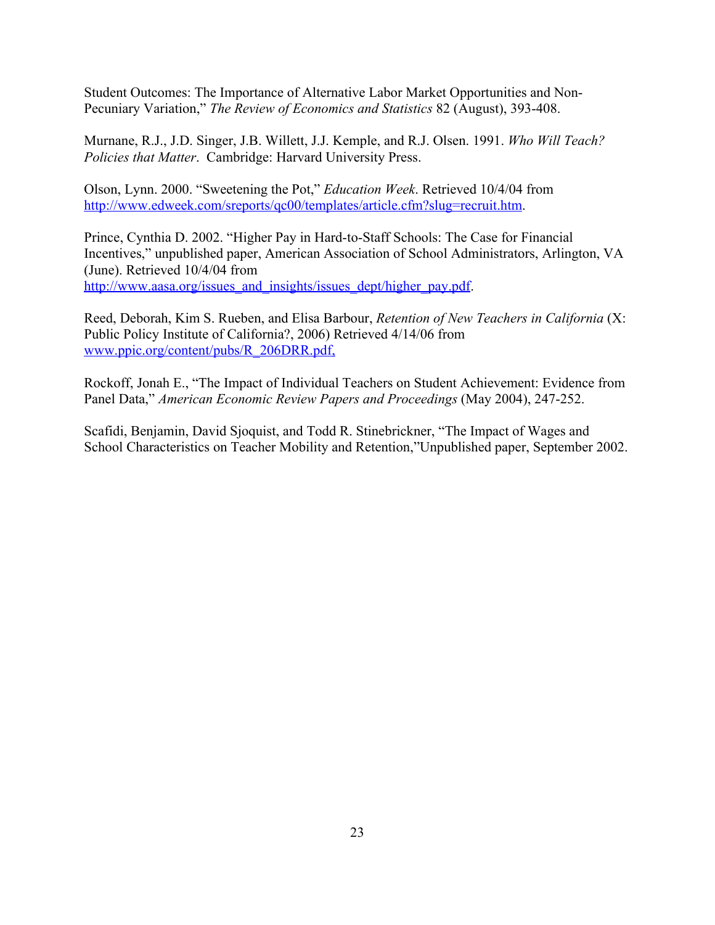Student Outcomes: The Importance of Alternative Labor Market Opportunities and Non-Pecuniary Variation," *The Review of Economics and Statistics* 82 (August), 393-408.

Murnane, R.J., J.D. Singer, J.B. Willett, J.J. Kemple, and R.J. Olsen. 1991. *Who Will Teach? Policies that Matter*. Cambridge: Harvard University Press.

Olson, Lynn. 2000. "Sweetening the Pot," *Education Week*. Retrieved 10/4/04 from <http://www.edweek.com/sreports/qc00/templates/article.cfm?slug=recruit.htm>.

Prince, Cynthia D. 2002. "Higher Pay in Hard-to-Staff Schools: The Case for Financial Incentives," unpublished paper, American Association of School Administrators, Arlington, VA (June). Retrieved 10/4/04 from [http://www.aasa.org/issues\\_and\\_insights/issues\\_dept/higher\\_pay.pdf](http://www.aasa.org/issues_and_insights/issues_dept/higher_pay.pdf).

Reed, Deborah, Kim S. Rueben, and Elisa Barbour, *Retention of New Teachers in California* (X: Public Policy Institute of California?, 2006) Retrieved 4/14/06 from www.ppic.org/content/pubs/R\_206DRR.pdf,

Rockoff, Jonah E., "The Impact of Individual Teachers on Student Achievement: Evidence from Panel Data," *American Economic Review Papers and Proceedings* (May 2004), 247-252.

Scafidi, Benjamin, David Sjoquist, and Todd R. Stinebrickner, "The Impact of Wages and School Characteristics on Teacher Mobility and Retention,"Unpublished paper, September 2002.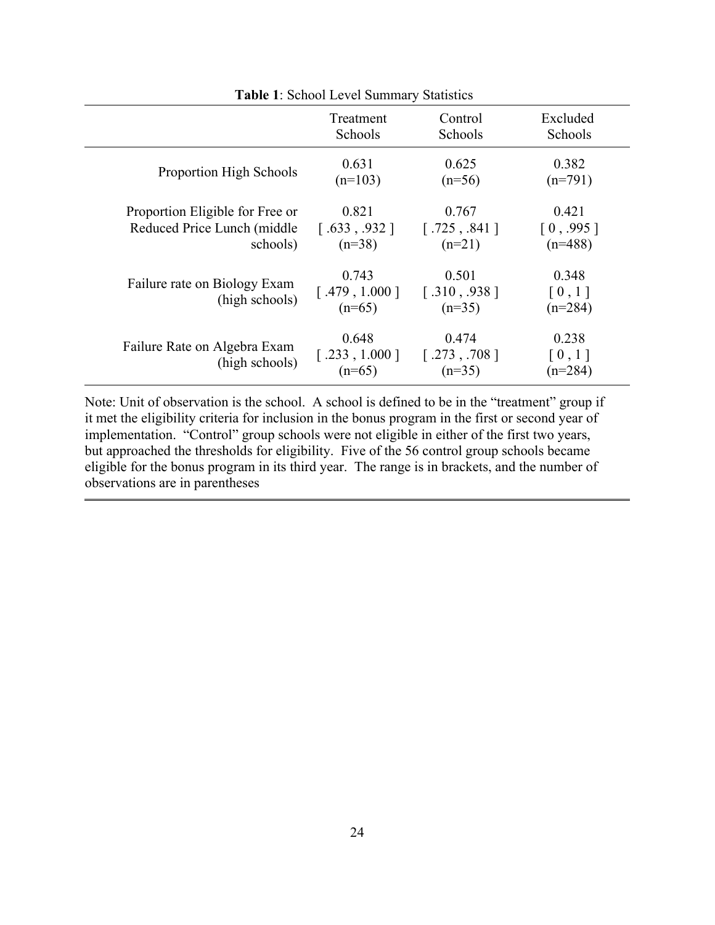| <b>Table 1: School Level Summary Statistics</b> |                                                   |                                   |                                            |  |
|-------------------------------------------------|---------------------------------------------------|-----------------------------------|--------------------------------------------|--|
|                                                 | Treatment                                         | Control                           | Excluded                                   |  |
|                                                 | Schools                                           | Schools                           | Schools                                    |  |
| Proportion High Schools                         | 0.631                                             | 0.625                             | 0.382                                      |  |
|                                                 | $(n=103)$                                         | $(n=56)$                          | $(n=791)$                                  |  |
| Proportion Eligible for Free or                 | 0.821                                             | 0.767                             | 0.421                                      |  |
| Reduced Price Lunch (middle                     | $\lceil .633 , .932 \rceil$                       | [.725, .841]                      | [0, .995]                                  |  |
| schools)                                        | $(n=38)$                                          | $(n=21)$                          | $(n=488)$                                  |  |
| Failure rate on Biology Exam<br>(high schools)  | 0.743<br>[.479, 1.000]<br>$(n=65)$                | 0.501<br>[.310, .938]<br>$(n=35)$ | 0.348<br>$\lceil 0, 1 \rceil$<br>$(n=284)$ |  |
| Failure Rate on Algebra Exam<br>(high schools)  | 0.648<br>$[.233, 1.000]$ [.273, .708]<br>$(n=65)$ | 0.474<br>$(n=35)$                 | 0.238<br>$\left[0,1\right]$<br>$(n=284)$   |  |

Note: Unit of observation is the school. A school is defined to be in the "treatment" group if it met the eligibility criteria for inclusion in the bonus program in the first or second year of implementation. "Control" group schools were not eligible in either of the first two years, but approached the thresholds for eligibility. Five of the 56 control group schools became eligible for the bonus program in its third year. The range is in brackets, and the number of observations are in parentheses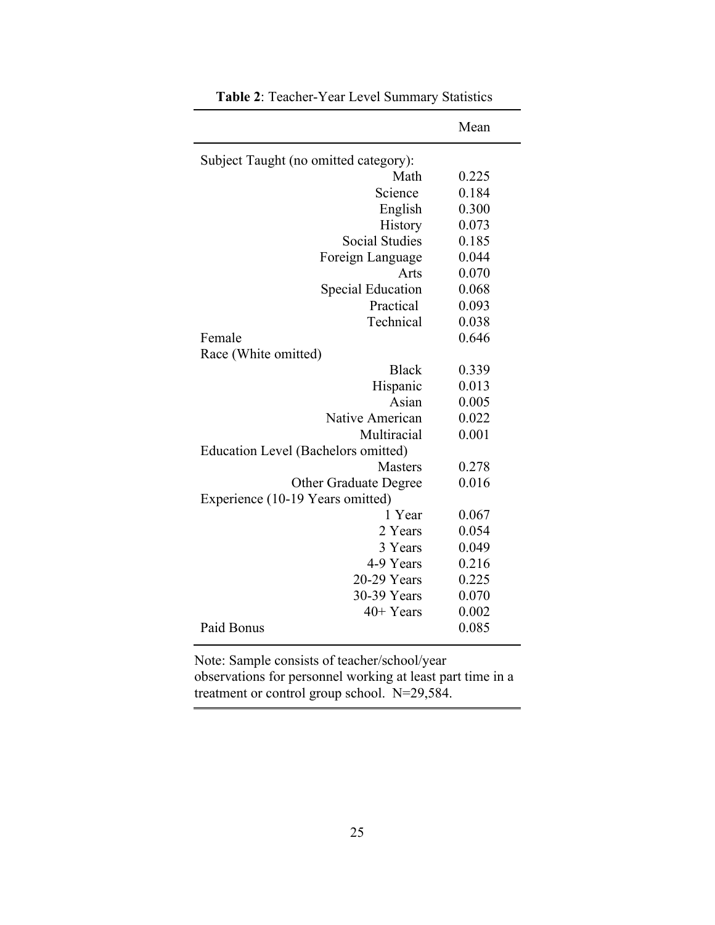|                                       | Mean  |
|---------------------------------------|-------|
| Subject Taught (no omitted category): |       |
| Math                                  | 0.225 |
| Science                               | 0.184 |
| English                               | 0.300 |
| History                               | 0.073 |
| <b>Social Studies</b>                 | 0.185 |
| Foreign Language                      | 0.044 |
| Arts                                  | 0.070 |
| <b>Special Education</b>              | 0.068 |
| Practical                             | 0.093 |
| Technical                             | 0.038 |
| Female                                | 0.646 |
| Race (White omitted)                  |       |
| <b>Black</b>                          | 0.339 |
| Hispanic                              | 0.013 |
| Asian                                 | 0.005 |
| Native American                       | 0.022 |
| Multiracial                           | 0.001 |
| Education Level (Bachelors omitted)   |       |
| <b>Masters</b>                        | 0.278 |
| <b>Other Graduate Degree</b>          | 0.016 |
| Experience (10-19 Years omitted)      |       |
| 1 Year                                | 0.067 |
| 2 Years                               | 0.054 |
| 3 Years                               | 0.049 |
| 4-9 Years                             | 0.216 |
| 20-29 Years                           | 0.225 |
| 30-39 Years                           | 0.070 |
| $40+Years$                            | 0.002 |
| Paid Bonus                            | 0.085 |

**Table 2**: Teacher-Year Level Summary Statistics

Note: Sample consists of teacher/school/year observations for personnel working at least part time in a treatment or control group school. N=29,584.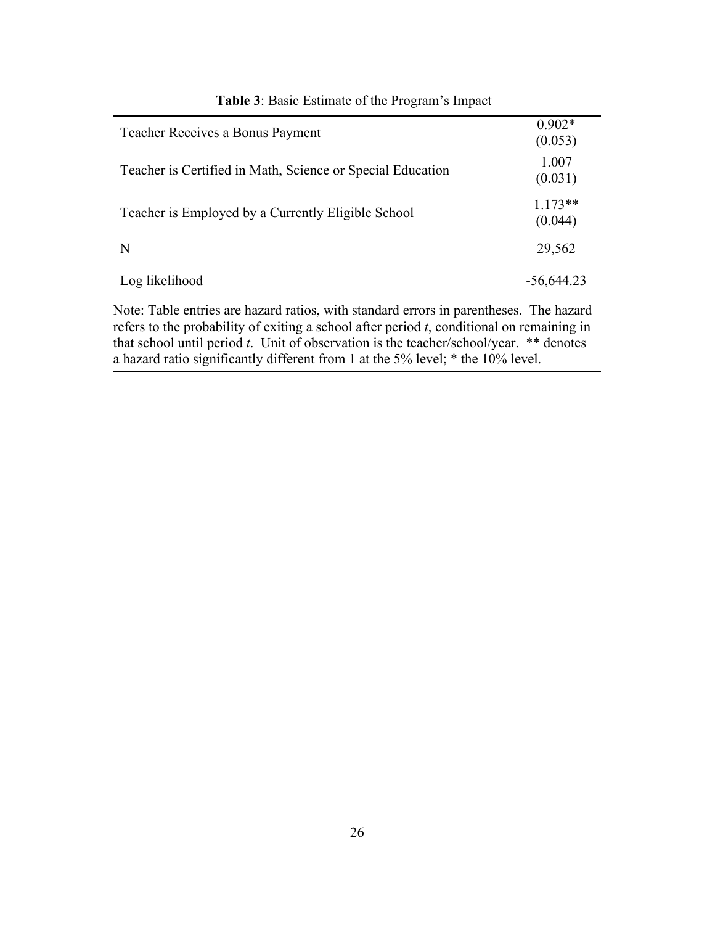| <b>Teacher Receives a Bonus Payment</b>                    | $0.902*$<br>(0.053)  |
|------------------------------------------------------------|----------------------|
| Teacher is Certified in Math, Science or Special Education | 1.007<br>(0.031)     |
| Teacher is Employed by a Currently Eligible School         | $1.173**$<br>(0.044) |
| N                                                          | 29,562               |
| Log likelihood                                             | $-56,644.23$         |

## **Table 3**: Basic Estimate of the Program's Impact

Note: Table entries are hazard ratios, with standard errors in parentheses. The hazard refers to the probability of exiting a school after period *t*, conditional on remaining in that school until period *t*. Unit of observation is the teacher/school/year. \*\* denotes a hazard ratio significantly different from 1 at the 5% level; \* the 10% level.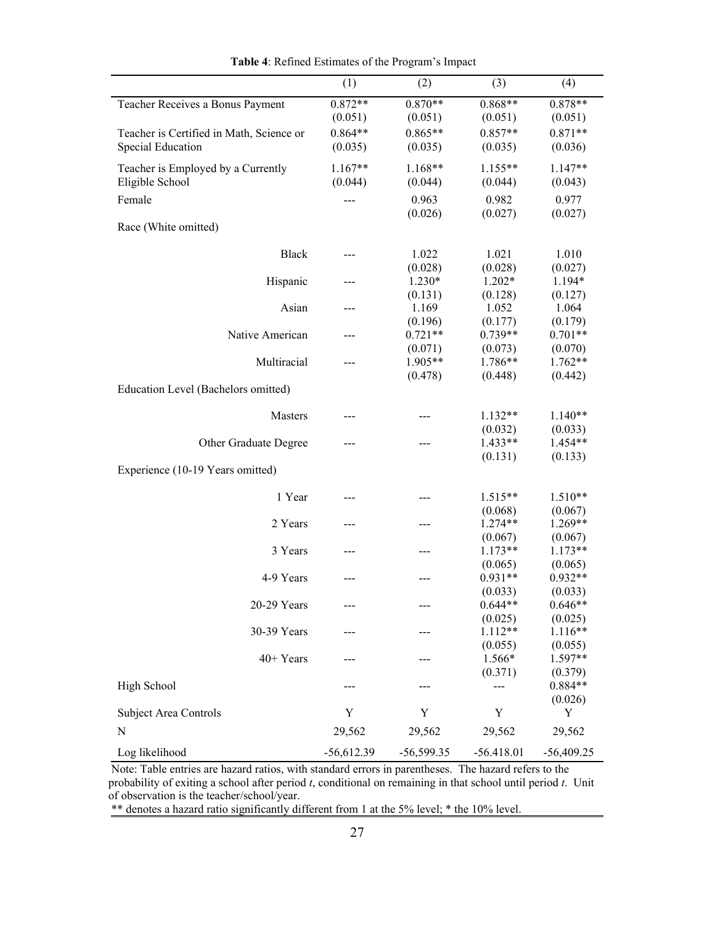| $0.872**$<br>$0.868**$<br>$0.878**$<br>$0.870**$<br>Teacher Receives a Bonus Payment<br>(0.051)<br>(0.051)<br>(0.051)<br>(0.051)<br>$0.864**$<br>$0.865**$<br>$0.857**$<br>$0.871**$<br>Teacher is Certified in Math, Science or<br><b>Special Education</b><br>(0.035)<br>(0.035)<br>(0.035)<br>(0.036)<br>$1.167**$<br>$1.168**$<br>$1.155**$<br>1.147**<br>Teacher is Employed by a Currently<br>Eligible School<br>(0.044)<br>(0.044)<br>(0.044)<br>(0.043)<br>0.963<br>0.982<br>0.977<br>Female<br>(0.026)<br>(0.027)<br>(0.027)<br>Race (White omitted)<br><b>Black</b><br>1.022<br>1.021<br>1.010<br>$---$<br>(0.028)<br>(0.028)<br>(0.027)<br>$1.230*$<br>Hispanic<br>$1.202*$<br>1.194*<br>(0.131)<br>(0.128)<br>(0.127)<br>Asian<br>1.169<br>1.052<br>1.064<br>---<br>(0.196)<br>(0.177)<br>(0.179)<br>$0.739**$<br>Native American<br>$0.721**$<br>$0.701**$<br>---<br>(0.071)<br>(0.070)<br>(0.073) |
|-----------------------------------------------------------------------------------------------------------------------------------------------------------------------------------------------------------------------------------------------------------------------------------------------------------------------------------------------------------------------------------------------------------------------------------------------------------------------------------------------------------------------------------------------------------------------------------------------------------------------------------------------------------------------------------------------------------------------------------------------------------------------------------------------------------------------------------------------------------------------------------------------------------------|
|                                                                                                                                                                                                                                                                                                                                                                                                                                                                                                                                                                                                                                                                                                                                                                                                                                                                                                                 |
|                                                                                                                                                                                                                                                                                                                                                                                                                                                                                                                                                                                                                                                                                                                                                                                                                                                                                                                 |
|                                                                                                                                                                                                                                                                                                                                                                                                                                                                                                                                                                                                                                                                                                                                                                                                                                                                                                                 |
|                                                                                                                                                                                                                                                                                                                                                                                                                                                                                                                                                                                                                                                                                                                                                                                                                                                                                                                 |
|                                                                                                                                                                                                                                                                                                                                                                                                                                                                                                                                                                                                                                                                                                                                                                                                                                                                                                                 |
|                                                                                                                                                                                                                                                                                                                                                                                                                                                                                                                                                                                                                                                                                                                                                                                                                                                                                                                 |
|                                                                                                                                                                                                                                                                                                                                                                                                                                                                                                                                                                                                                                                                                                                                                                                                                                                                                                                 |
|                                                                                                                                                                                                                                                                                                                                                                                                                                                                                                                                                                                                                                                                                                                                                                                                                                                                                                                 |
|                                                                                                                                                                                                                                                                                                                                                                                                                                                                                                                                                                                                                                                                                                                                                                                                                                                                                                                 |
|                                                                                                                                                                                                                                                                                                                                                                                                                                                                                                                                                                                                                                                                                                                                                                                                                                                                                                                 |
|                                                                                                                                                                                                                                                                                                                                                                                                                                                                                                                                                                                                                                                                                                                                                                                                                                                                                                                 |
|                                                                                                                                                                                                                                                                                                                                                                                                                                                                                                                                                                                                                                                                                                                                                                                                                                                                                                                 |
|                                                                                                                                                                                                                                                                                                                                                                                                                                                                                                                                                                                                                                                                                                                                                                                                                                                                                                                 |
|                                                                                                                                                                                                                                                                                                                                                                                                                                                                                                                                                                                                                                                                                                                                                                                                                                                                                                                 |
|                                                                                                                                                                                                                                                                                                                                                                                                                                                                                                                                                                                                                                                                                                                                                                                                                                                                                                                 |
|                                                                                                                                                                                                                                                                                                                                                                                                                                                                                                                                                                                                                                                                                                                                                                                                                                                                                                                 |
|                                                                                                                                                                                                                                                                                                                                                                                                                                                                                                                                                                                                                                                                                                                                                                                                                                                                                                                 |
| 1.905**<br>1.786**<br>$1.762**$<br>Multiracial                                                                                                                                                                                                                                                                                                                                                                                                                                                                                                                                                                                                                                                                                                                                                                                                                                                                  |
| (0.478)<br>(0.448)<br>(0.442)                                                                                                                                                                                                                                                                                                                                                                                                                                                                                                                                                                                                                                                                                                                                                                                                                                                                                   |
| Education Level (Bachelors omitted)                                                                                                                                                                                                                                                                                                                                                                                                                                                                                                                                                                                                                                                                                                                                                                                                                                                                             |
| $1.132**$<br>$1.140**$<br>Masters                                                                                                                                                                                                                                                                                                                                                                                                                                                                                                                                                                                                                                                                                                                                                                                                                                                                               |
| (0.032)<br>(0.033)                                                                                                                                                                                                                                                                                                                                                                                                                                                                                                                                                                                                                                                                                                                                                                                                                                                                                              |
| $1.433**$<br>1.454**<br>Other Graduate Degree                                                                                                                                                                                                                                                                                                                                                                                                                                                                                                                                                                                                                                                                                                                                                                                                                                                                   |
| (0.131)<br>(0.133)                                                                                                                                                                                                                                                                                                                                                                                                                                                                                                                                                                                                                                                                                                                                                                                                                                                                                              |
| Experience (10-19 Years omitted)                                                                                                                                                                                                                                                                                                                                                                                                                                                                                                                                                                                                                                                                                                                                                                                                                                                                                |
| 1 Year<br>$1.515**$<br>$1.510**$                                                                                                                                                                                                                                                                                                                                                                                                                                                                                                                                                                                                                                                                                                                                                                                                                                                                                |
| (0.068)<br>(0.067)                                                                                                                                                                                                                                                                                                                                                                                                                                                                                                                                                                                                                                                                                                                                                                                                                                                                                              |
| $1.274**$<br>1.269**<br>2 Years<br>---<br>---                                                                                                                                                                                                                                                                                                                                                                                                                                                                                                                                                                                                                                                                                                                                                                                                                                                                   |
| (0.067)<br>(0.067)                                                                                                                                                                                                                                                                                                                                                                                                                                                                                                                                                                                                                                                                                                                                                                                                                                                                                              |
| $1.173**$<br>$1.173**$<br>3 Years                                                                                                                                                                                                                                                                                                                                                                                                                                                                                                                                                                                                                                                                                                                                                                                                                                                                               |
| (0.065)<br>(0.065)                                                                                                                                                                                                                                                                                                                                                                                                                                                                                                                                                                                                                                                                                                                                                                                                                                                                                              |
| 4-9 Years<br>$0.931**$<br>$0.932**$<br>---                                                                                                                                                                                                                                                                                                                                                                                                                                                                                                                                                                                                                                                                                                                                                                                                                                                                      |
| (0.033)<br>(0.033)                                                                                                                                                                                                                                                                                                                                                                                                                                                                                                                                                                                                                                                                                                                                                                                                                                                                                              |
| 20-29 Years<br>$0.644**$<br>$0.646**$                                                                                                                                                                                                                                                                                                                                                                                                                                                                                                                                                                                                                                                                                                                                                                                                                                                                           |
| (0.025)<br>(0.025)                                                                                                                                                                                                                                                                                                                                                                                                                                                                                                                                                                                                                                                                                                                                                                                                                                                                                              |
| $1.112**$<br>$1.116**$<br>30-39 Years                                                                                                                                                                                                                                                                                                                                                                                                                                                                                                                                                                                                                                                                                                                                                                                                                                                                           |
| (0.055)<br>(0.055)                                                                                                                                                                                                                                                                                                                                                                                                                                                                                                                                                                                                                                                                                                                                                                                                                                                                                              |
| 40+ Years<br>1.566*<br>1.597**                                                                                                                                                                                                                                                                                                                                                                                                                                                                                                                                                                                                                                                                                                                                                                                                                                                                                  |
| (0.371)<br>(0.379)                                                                                                                                                                                                                                                                                                                                                                                                                                                                                                                                                                                                                                                                                                                                                                                                                                                                                              |
| High School<br>$0.884**$                                                                                                                                                                                                                                                                                                                                                                                                                                                                                                                                                                                                                                                                                                                                                                                                                                                                                        |
| (0.026)<br>Y<br>Y<br><b>Subject Area Controls</b><br>Y<br>Y                                                                                                                                                                                                                                                                                                                                                                                                                                                                                                                                                                                                                                                                                                                                                                                                                                                     |
| N<br>29,562<br>29,562<br>29,562<br>29,562                                                                                                                                                                                                                                                                                                                                                                                                                                                                                                                                                                                                                                                                                                                                                                                                                                                                       |
| Log likelihood<br>$-56,612.39$<br>$-56,599.35$<br>$-56.418.01$<br>$-56,409.25$                                                                                                                                                                                                                                                                                                                                                                                                                                                                                                                                                                                                                                                                                                                                                                                                                                  |

**Table 4**: Refined Estimates of the Program's Impact

 Note: Table entries are hazard ratios, with standard errors in parentheses. The hazard refers to the probability of exiting a school after period *t*, conditional on remaining in that school until period *t*. Unit of observation is the teacher/school/year.

\*\* denotes a hazard ratio significantly different from 1 at the 5% level; \* the 10% level.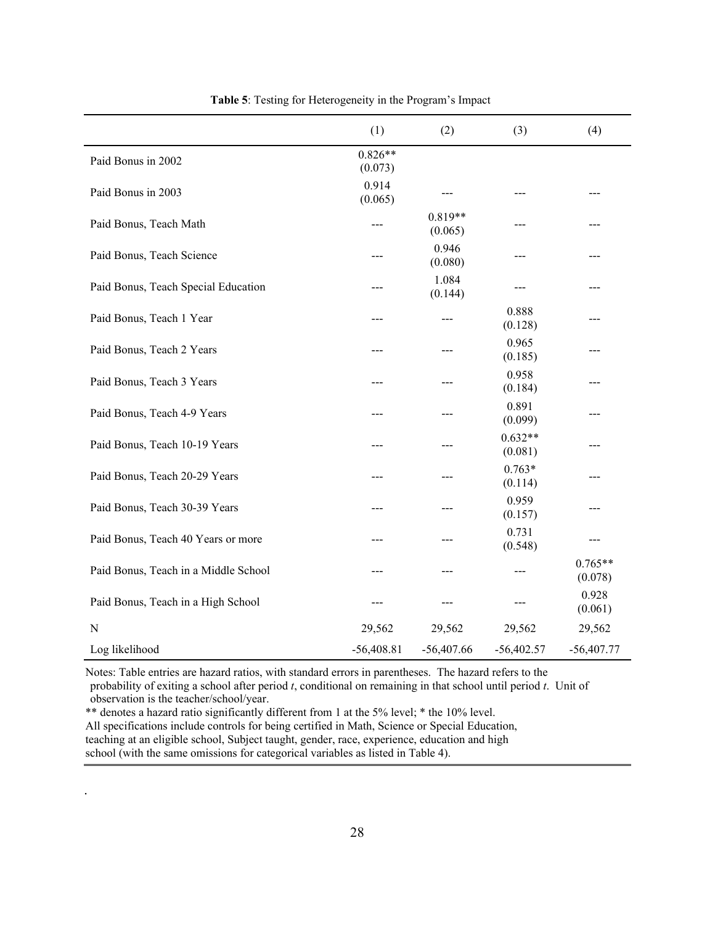|                                      | (1)                  | (2)                  | (3)                  | (4)                  |
|--------------------------------------|----------------------|----------------------|----------------------|----------------------|
| Paid Bonus in 2002                   | $0.826**$<br>(0.073) |                      |                      |                      |
| Paid Bonus in 2003                   | 0.914<br>(0.065)     |                      | ---                  |                      |
| Paid Bonus, Teach Math               |                      | $0.819**$<br>(0.065) | ---                  |                      |
| Paid Bonus, Teach Science            |                      | 0.946<br>(0.080)     |                      |                      |
| Paid Bonus, Teach Special Education  |                      | 1.084<br>(0.144)     |                      |                      |
| Paid Bonus, Teach 1 Year             | ---                  |                      | 0.888<br>(0.128)     | ---                  |
| Paid Bonus, Teach 2 Years            | ---                  |                      | 0.965<br>(0.185)     |                      |
| Paid Bonus, Teach 3 Years            |                      |                      | 0.958<br>(0.184)     |                      |
| Paid Bonus, Teach 4-9 Years          | ---                  |                      | 0.891<br>(0.099)     |                      |
| Paid Bonus, Teach 10-19 Years        |                      |                      | $0.632**$<br>(0.081) |                      |
| Paid Bonus, Teach 20-29 Years        |                      |                      | $0.763*$<br>(0.114)  |                      |
| Paid Bonus, Teach 30-39 Years        |                      |                      | 0.959<br>(0.157)     |                      |
| Paid Bonus, Teach 40 Years or more   | ---                  |                      | 0.731<br>(0.548)     | ---                  |
| Paid Bonus, Teach in a Middle School |                      |                      | ---                  | $0.765**$<br>(0.078) |
| Paid Bonus, Teach in a High School   |                      |                      |                      | 0.928<br>(0.061)     |
| ${\bf N}$                            | 29,562               | 29,562               | 29,562               | 29,562               |
| Log likelihood                       | $-56,408.81$         | $-56,407.66$         | $-56,402.57$         | $-56,407.77$         |

**Table 5**: Testing for Heterogeneity in the Program's Impact

 Notes: Table entries are hazard ratios, with standard errors in parentheses. The hazard refers to the probability of exiting a school after period *t*, conditional on remaining in that school until period *t*. Unit of observation is the teacher/school/year.

 \*\* denotes a hazard ratio significantly different from 1 at the 5% level; \* the 10% level. All specifications include controls for being certified in Math, Science or Special Education, teaching at an eligible school, Subject taught, gender, race, experience, education and high school (with the same omissions for categorical variables as listed in Table 4).

.